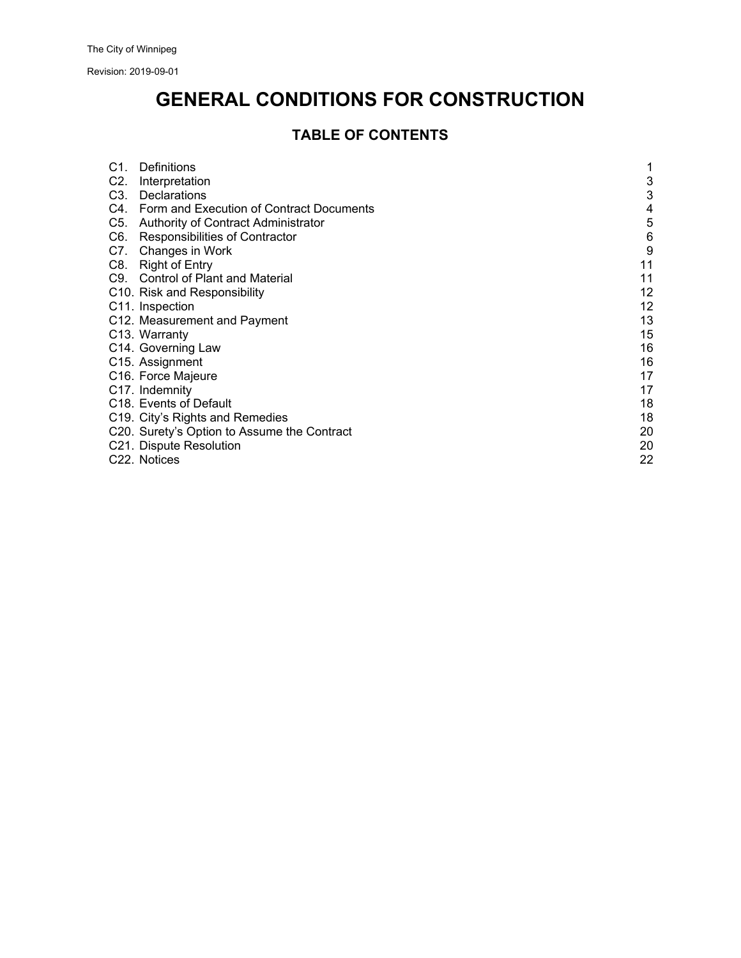Revision: 2019-09-01

# **GENERAL CONDITIONS FOR CONSTRUCTION**

# **TABLE OF CONTENTS**

| C1. | Definitions                                  |    |
|-----|----------------------------------------------|----|
| C2. | Interpretation                               | 3  |
| C3. | Declarations                                 | 3  |
|     | C4. Form and Execution of Contract Documents | 4  |
| C5. | Authority of Contract Administrator          | 5  |
| C6. | Responsibilities of Contractor               | 6  |
| C7. | Changes in Work                              | 9  |
| C8. | Right of Entry                               | 11 |
| C9. | <b>Control of Plant and Material</b>         | 11 |
|     | C10. Risk and Responsibility                 | 12 |
|     | C <sub>11</sub> . Inspection                 | 12 |
|     | C12. Measurement and Payment                 | 13 |
|     | C <sub>13</sub> . Warranty                   | 15 |
|     | C14. Governing Law                           | 16 |
|     | C15. Assignment                              | 16 |
|     | C16. Force Majeure                           | 17 |
|     | C <sub>17</sub> . Indemnity                  | 17 |
|     | C <sub>18</sub> . Events of Default          | 18 |
|     | C19. City's Rights and Remedies              | 18 |
|     | C20. Surety's Option to Assume the Contract  | 20 |
|     | C21. Dispute Resolution                      | 20 |
|     | C22. Notices                                 | 22 |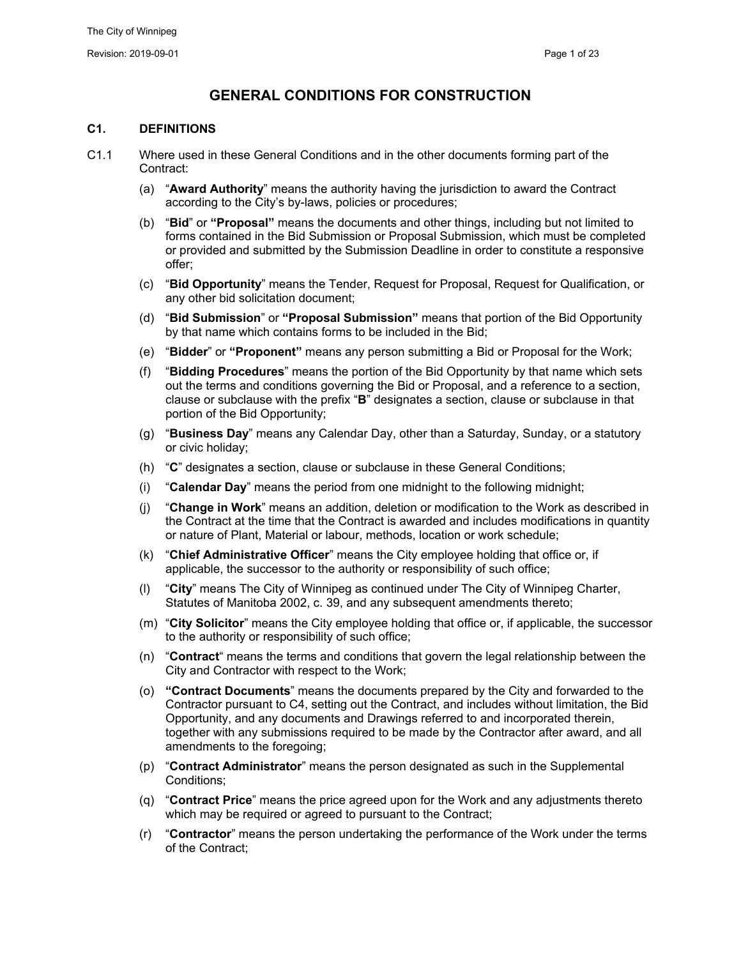# **GENERAL CONDITIONS FOR CONSTRUCTION**

# **C1. DEFINITIONS**

- C1.1 Where used in these General Conditions and in the other documents forming part of the Contract:
	- (a) "**Award Authority**" means the authority having the jurisdiction to award the Contract according to the City's by-laws, policies or procedures;
	- (b) "**Bid**" or **"Proposal"** means the documents and other things, including but not limited to forms contained in the Bid Submission or Proposal Submission, which must be completed or provided and submitted by the Submission Deadline in order to constitute a responsive offer;
	- (c) "**Bid Opportunity**" means the Tender, Request for Proposal, Request for Qualification, or any other bid solicitation document;
	- (d) "**Bid Submission**" or **"Proposal Submission"** means that portion of the Bid Opportunity by that name which contains forms to be included in the Bid;
	- (e) "**Bidder**" or **"Proponent"** means any person submitting a Bid or Proposal for the Work;
	- (f) "**Bidding Procedures**" means the portion of the Bid Opportunity by that name which sets out the terms and conditions governing the Bid or Proposal, and a reference to a section, clause or subclause with the prefix "**B**" designates a section, clause or subclause in that portion of the Bid Opportunity;
	- (g) "**Business Day**" means any Calendar Day, other than a Saturday, Sunday, or a statutory or civic holiday;
	- (h) "**C**" designates a section, clause or subclause in these General Conditions;
	- (i) "**Calendar Day**" means the period from one midnight to the following midnight;
	- (j) "**Change in Work**" means an addition, deletion or modification to the Work as described in the Contract at the time that the Contract is awarded and includes modifications in quantity or nature of Plant, Material or labour, methods, location or work schedule;
	- (k) "**Chief Administrative Officer**" means the City employee holding that office or, if applicable, the successor to the authority or responsibility of such office;
	- (l) "**City**" means The City of Winnipeg as continued under The City of Winnipeg Charter, Statutes of Manitoba 2002, c. 39, and any subsequent amendments thereto;
	- (m) "**City Solicitor**" means the City employee holding that office or, if applicable, the successor to the authority or responsibility of such office;
	- (n) "**Contract**" means the terms and conditions that govern the legal relationship between the City and Contractor with respect to the Work;
	- (o) **"Contract Documents**" means the documents prepared by the City and forwarded to the Contractor pursuant to C4, setting out the Contract, and includes without limitation, the Bid Opportunity, and any documents and Drawings referred to and incorporated therein, together with any submissions required to be made by the Contractor after award, and all amendments to the foregoing;
	- (p) "**Contract Administrator**" means the person designated as such in the Supplemental Conditions;
	- (q) "**Contract Price**" means the price agreed upon for the Work and any adjustments thereto which may be required or agreed to pursuant to the Contract;
	- (r) "**Contractor**" means the person undertaking the performance of the Work under the terms of the Contract;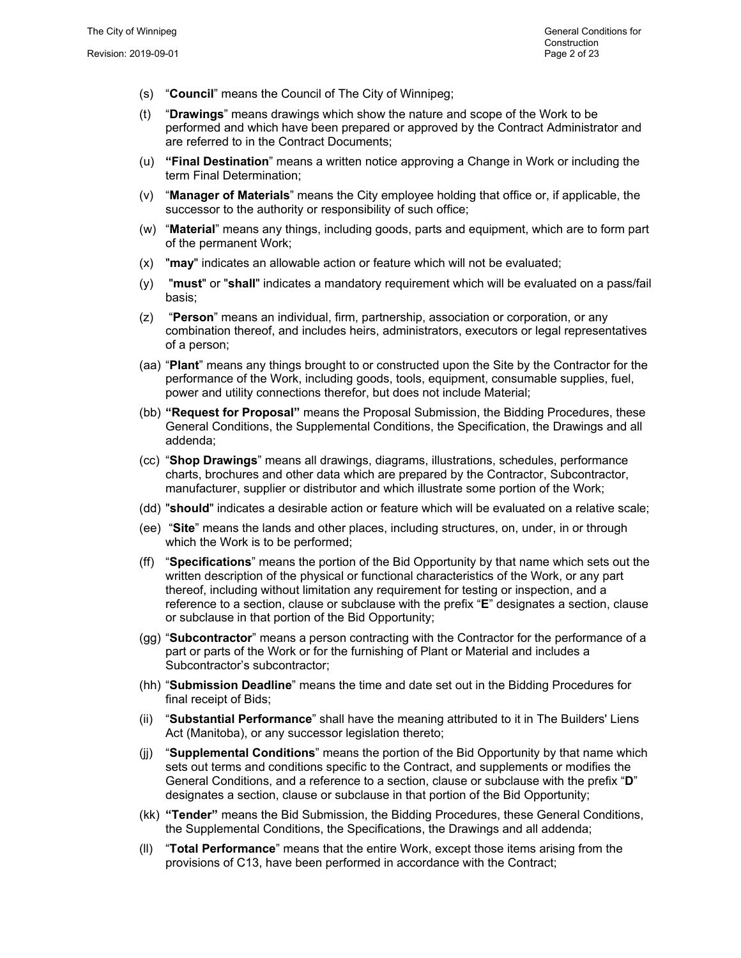- (s) "**Council**" means the Council of The City of Winnipeg;
- (t) "**Drawings**" means drawings which show the nature and scope of the Work to be performed and which have been prepared or approved by the Contract Administrator and are referred to in the Contract Documents;
- (u) **"Final Destination**" means a written notice approving a Change in Work or including the term Final Determination;
- (v) "**Manager of Materials**" means the City employee holding that office or, if applicable, the successor to the authority or responsibility of such office;
- (w) "**Material**" means any things, including goods, parts and equipment, which are to form part of the permanent Work;
- (x) "**may**" indicates an allowable action or feature which will not be evaluated;
- (y) "**must**" or "**shall**" indicates a mandatory requirement which will be evaluated on a pass/fail basis;
- (z) "**Person**" means an individual, firm, partnership, association or corporation, or any combination thereof, and includes heirs, administrators, executors or legal representatives of a person;
- (aa) "**Plant**" means any things brought to or constructed upon the Site by the Contractor for the performance of the Work, including goods, tools, equipment, consumable supplies, fuel, power and utility connections therefor, but does not include Material;
- (bb) **"Request for Proposal"** means the Proposal Submission, the Bidding Procedures, these General Conditions, the Supplemental Conditions, the Specification, the Drawings and all addenda;
- (cc) "**Shop Drawings**" means all drawings, diagrams, illustrations, schedules, performance charts, brochures and other data which are prepared by the Contractor, Subcontractor, manufacturer, supplier or distributor and which illustrate some portion of the Work;
- (dd) "**should**" indicates a desirable action or feature which will be evaluated on a relative scale;
- (ee) "**Site**" means the lands and other places, including structures, on, under, in or through which the Work is to be performed;
- (ff) "**Specifications**" means the portion of the Bid Opportunity by that name which sets out the written description of the physical or functional characteristics of the Work, or any part thereof, including without limitation any requirement for testing or inspection, and a reference to a section, clause or subclause with the prefix "**E**" designates a section, clause or subclause in that portion of the Bid Opportunity;
- (gg) "**Subcontractor**" means a person contracting with the Contractor for the performance of a part or parts of the Work or for the furnishing of Plant or Material and includes a Subcontractor's subcontractor;
- (hh) "**Submission Deadline**" means the time and date set out in the Bidding Procedures for final receipt of Bids;
- (ii) "**Substantial Performance**" shall have the meaning attributed to it in The Builders' Liens Act (Manitoba), or any successor legislation thereto;
- (jj) "**Supplemental Conditions**" means the portion of the Bid Opportunity by that name which sets out terms and conditions specific to the Contract, and supplements or modifies the General Conditions, and a reference to a section, clause or subclause with the prefix "**D**" designates a section, clause or subclause in that portion of the Bid Opportunity;
- (kk) **"Tender"** means the Bid Submission, the Bidding Procedures, these General Conditions, the Supplemental Conditions, the Specifications, the Drawings and all addenda;
- (ll) "**Total Performance**" means that the entire Work, except those items arising from the provisions of C13, have been performed in accordance with the Contract;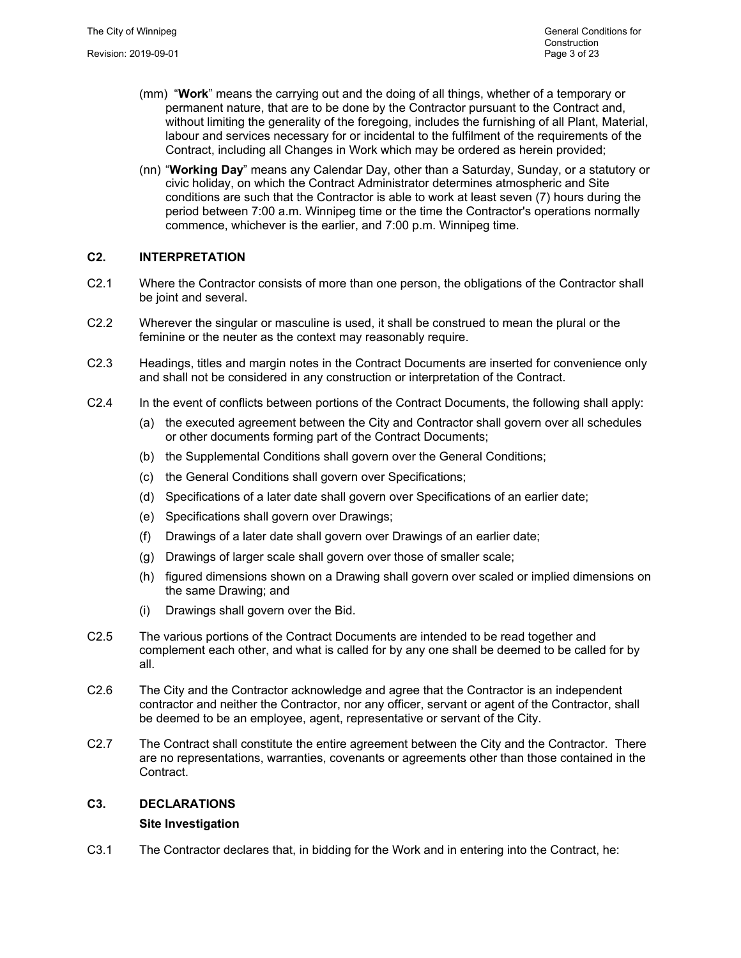- (mm) "**Work**" means the carrying out and the doing of all things, whether of a temporary or permanent nature, that are to be done by the Contractor pursuant to the Contract and, without limiting the generality of the foregoing, includes the furnishing of all Plant, Material, labour and services necessary for or incidental to the fulfilment of the requirements of the Contract, including all Changes in Work which may be ordered as herein provided;
- (nn) "**Working Day**" means any Calendar Day, other than a Saturday, Sunday, or a statutory or civic holiday, on which the Contract Administrator determines atmospheric and Site conditions are such that the Contractor is able to work at least seven (7) hours during the period between 7:00 a.m. Winnipeg time or the time the Contractor's operations normally commence, whichever is the earlier, and 7:00 p.m. Winnipeg time.

# **C2. INTERPRETATION**

- C2.1 Where the Contractor consists of more than one person, the obligations of the Contractor shall be joint and several.
- C2.2 Wherever the singular or masculine is used, it shall be construed to mean the plural or the feminine or the neuter as the context may reasonably require.
- C2.3 Headings, titles and margin notes in the Contract Documents are inserted for convenience only and shall not be considered in any construction or interpretation of the Contract.
- C2.4 In the event of conflicts between portions of the Contract Documents, the following shall apply:
	- (a) the executed agreement between the City and Contractor shall govern over all schedules or other documents forming part of the Contract Documents;
	- (b) the Supplemental Conditions shall govern over the General Conditions;
	- (c) the General Conditions shall govern over Specifications;
	- (d) Specifications of a later date shall govern over Specifications of an earlier date;
	- (e) Specifications shall govern over Drawings;
	- (f) Drawings of a later date shall govern over Drawings of an earlier date;
	- (g) Drawings of larger scale shall govern over those of smaller scale;
	- (h) figured dimensions shown on a Drawing shall govern over scaled or implied dimensions on the same Drawing; and
	- (i) Drawings shall govern over the Bid.
- C2.5 The various portions of the Contract Documents are intended to be read together and complement each other, and what is called for by any one shall be deemed to be called for by all.
- C2.6 The City and the Contractor acknowledge and agree that the Contractor is an independent contractor and neither the Contractor, nor any officer, servant or agent of the Contractor, shall be deemed to be an employee, agent, representative or servant of the City.
- C2.7 The Contract shall constitute the entire agreement between the City and the Contractor. There are no representations, warranties, covenants or agreements other than those contained in the Contract.

# **C3. DECLARATIONS**

# **Site Investigation**

C3.1 The Contractor declares that, in bidding for the Work and in entering into the Contract, he: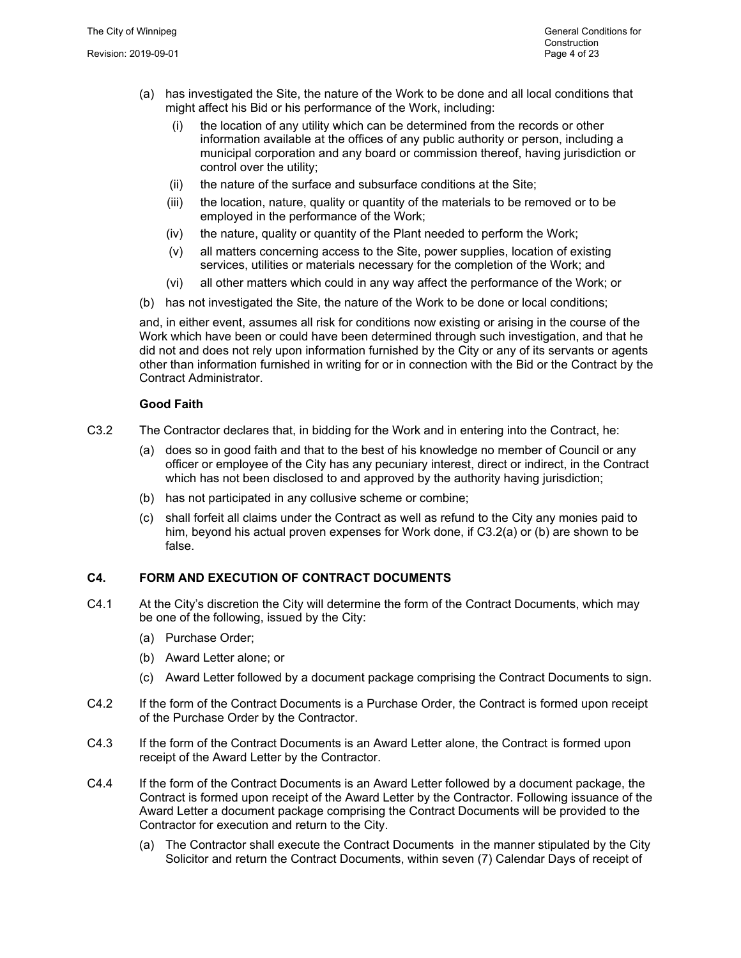- (a) has investigated the Site, the nature of the Work to be done and all local conditions that might affect his Bid or his performance of the Work, including:
	- (i) the location of any utility which can be determined from the records or other information available at the offices of any public authority or person, including a municipal corporation and any board or commission thereof, having jurisdiction or control over the utility;
	- (ii) the nature of the surface and subsurface conditions at the Site;
	- (iii) the location, nature, quality or quantity of the materials to be removed or to be employed in the performance of the Work;
	- (iv) the nature, quality or quantity of the Plant needed to perform the Work;
	- (v) all matters concerning access to the Site, power supplies, location of existing services, utilities or materials necessary for the completion of the Work; and
	- (vi) all other matters which could in any way affect the performance of the Work; or
- (b) has not investigated the Site, the nature of the Work to be done or local conditions;

and, in either event, assumes all risk for conditions now existing or arising in the course of the Work which have been or could have been determined through such investigation, and that he did not and does not rely upon information furnished by the City or any of its servants or agents other than information furnished in writing for or in connection with the Bid or the Contract by the Contract Administrator.

#### **Good Faith**

- C3.2 The Contractor declares that, in bidding for the Work and in entering into the Contract, he:
	- (a) does so in good faith and that to the best of his knowledge no member of Council or any officer or employee of the City has any pecuniary interest, direct or indirect, in the Contract which has not been disclosed to and approved by the authority having jurisdiction;
	- (b) has not participated in any collusive scheme or combine;
	- (c) shall forfeit all claims under the Contract as well as refund to the City any monies paid to him, beyond his actual proven expenses for Work done, if C3.2(a) or (b) are shown to be false.

# **C4. FORM AND EXECUTION OF CONTRACT DOCUMENTS**

- C4.1 At the City's discretion the City will determine the form of the Contract Documents, which may be one of the following, issued by the City:
	- (a) Purchase Order;
	- (b) Award Letter alone; or
	- (c) Award Letter followed by a document package comprising the Contract Documents to sign.
- C4.2 If the form of the Contract Documents is a Purchase Order, the Contract is formed upon receipt of the Purchase Order by the Contractor.
- C4.3 If the form of the Contract Documents is an Award Letter alone, the Contract is formed upon receipt of the Award Letter by the Contractor.
- C4.4 If the form of the Contract Documents is an Award Letter followed by a document package, the Contract is formed upon receipt of the Award Letter by the Contractor. Following issuance of the Award Letter a document package comprising the Contract Documents will be provided to the Contractor for execution and return to the City.
	- (a) The Contractor shall execute the Contract Documents in the manner stipulated by the City Solicitor and return the Contract Documents, within seven (7) Calendar Days of receipt of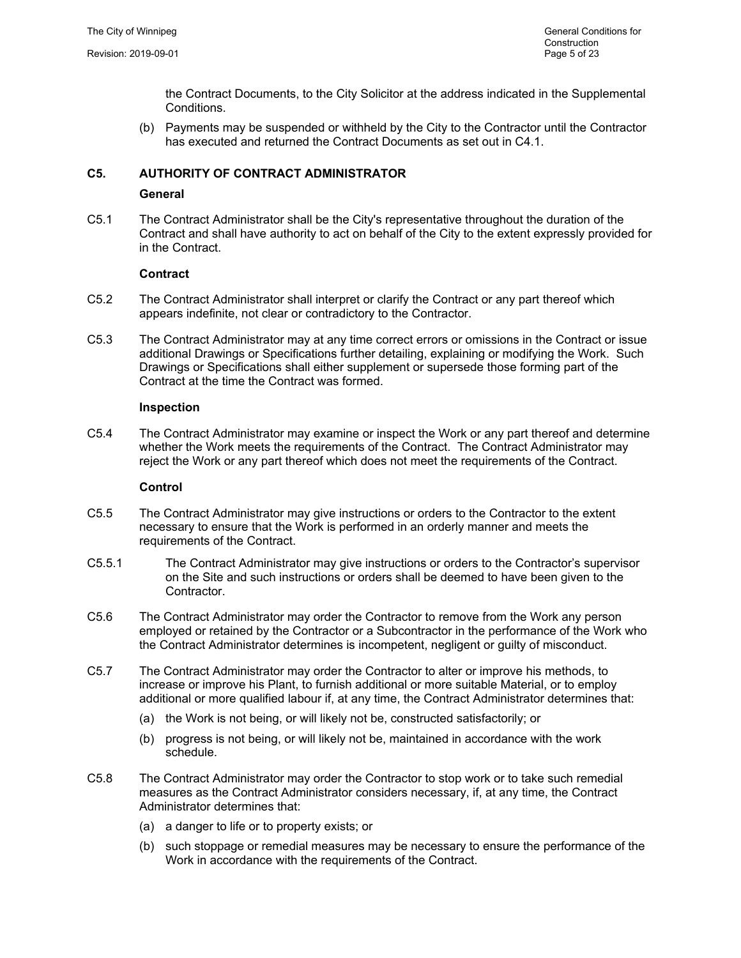the Contract Documents, to the City Solicitor at the address indicated in the Supplemental Conditions.

(b) Payments may be suspended or withheld by the City to the Contractor until the Contractor has executed and returned the Contract Documents as set out in C4.1.

# **C5. AUTHORITY OF CONTRACT ADMINISTRATOR**

# **General**

C5.1 The Contract Administrator shall be the City's representative throughout the duration of the Contract and shall have authority to act on behalf of the City to the extent expressly provided for in the Contract.

# **Contract**

- C5.2 The Contract Administrator shall interpret or clarify the Contract or any part thereof which appears indefinite, not clear or contradictory to the Contractor.
- C5.3 The Contract Administrator may at any time correct errors or omissions in the Contract or issue additional Drawings or Specifications further detailing, explaining or modifying the Work. Such Drawings or Specifications shall either supplement or supersede those forming part of the Contract at the time the Contract was formed.

#### **Inspection**

C5.4 The Contract Administrator may examine or inspect the Work or any part thereof and determine whether the Work meets the requirements of the Contract. The Contract Administrator may reject the Work or any part thereof which does not meet the requirements of the Contract.

#### **Control**

- C5.5 The Contract Administrator may give instructions or orders to the Contractor to the extent necessary to ensure that the Work is performed in an orderly manner and meets the requirements of the Contract.
- C5.5.1 The Contract Administrator may give instructions or orders to the Contractor's supervisor on the Site and such instructions or orders shall be deemed to have been given to the Contractor.
- C5.6 The Contract Administrator may order the Contractor to remove from the Work any person employed or retained by the Contractor or a Subcontractor in the performance of the Work who the Contract Administrator determines is incompetent, negligent or guilty of misconduct.
- C5.7 The Contract Administrator may order the Contractor to alter or improve his methods, to increase or improve his Plant, to furnish additional or more suitable Material, or to employ additional or more qualified labour if, at any time, the Contract Administrator determines that:
	- (a) the Work is not being, or will likely not be, constructed satisfactorily; or
	- (b) progress is not being, or will likely not be, maintained in accordance with the work schedule.
- C5.8 The Contract Administrator may order the Contractor to stop work or to take such remedial measures as the Contract Administrator considers necessary, if, at any time, the Contract Administrator determines that:
	- (a) a danger to life or to property exists; or
	- (b) such stoppage or remedial measures may be necessary to ensure the performance of the Work in accordance with the requirements of the Contract.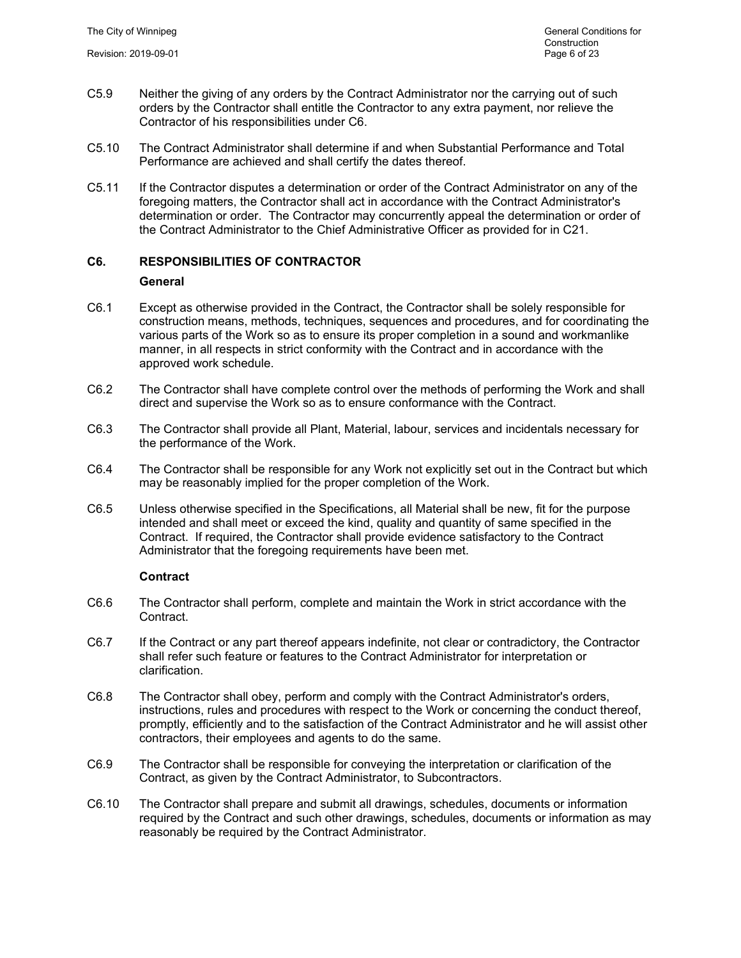- C5.9 Neither the giving of any orders by the Contract Administrator nor the carrying out of such orders by the Contractor shall entitle the Contractor to any extra payment, nor relieve the Contractor of his responsibilities under C6.
- C5.10 The Contract Administrator shall determine if and when Substantial Performance and Total Performance are achieved and shall certify the dates thereof.
- C5.11 If the Contractor disputes a determination or order of the Contract Administrator on any of the foregoing matters, the Contractor shall act in accordance with the Contract Administrator's determination or order. The Contractor may concurrently appeal the determination or order of the Contract Administrator to the Chief Administrative Officer as provided for in C21.

# **C6. RESPONSIBILITIES OF CONTRACTOR**

#### **General**

- C6.1 Except as otherwise provided in the Contract, the Contractor shall be solely responsible for construction means, methods, techniques, sequences and procedures, and for coordinating the various parts of the Work so as to ensure its proper completion in a sound and workmanlike manner, in all respects in strict conformity with the Contract and in accordance with the approved work schedule.
- C6.2 The Contractor shall have complete control over the methods of performing the Work and shall direct and supervise the Work so as to ensure conformance with the Contract.
- C6.3 The Contractor shall provide all Plant, Material, labour, services and incidentals necessary for the performance of the Work.
- C6.4 The Contractor shall be responsible for any Work not explicitly set out in the Contract but which may be reasonably implied for the proper completion of the Work.
- C6.5 Unless otherwise specified in the Specifications, all Material shall be new, fit for the purpose intended and shall meet or exceed the kind, quality and quantity of same specified in the Contract. If required, the Contractor shall provide evidence satisfactory to the Contract Administrator that the foregoing requirements have been met.

# **Contract**

- C6.6 The Contractor shall perform, complete and maintain the Work in strict accordance with the Contract.
- C6.7 If the Contract or any part thereof appears indefinite, not clear or contradictory, the Contractor shall refer such feature or features to the Contract Administrator for interpretation or clarification.
- C6.8 The Contractor shall obey, perform and comply with the Contract Administrator's orders, instructions, rules and procedures with respect to the Work or concerning the conduct thereof, promptly, efficiently and to the satisfaction of the Contract Administrator and he will assist other contractors, their employees and agents to do the same.
- C6.9 The Contractor shall be responsible for conveying the interpretation or clarification of the Contract, as given by the Contract Administrator, to Subcontractors.
- C6.10 The Contractor shall prepare and submit all drawings, schedules, documents or information required by the Contract and such other drawings, schedules, documents or information as may reasonably be required by the Contract Administrator.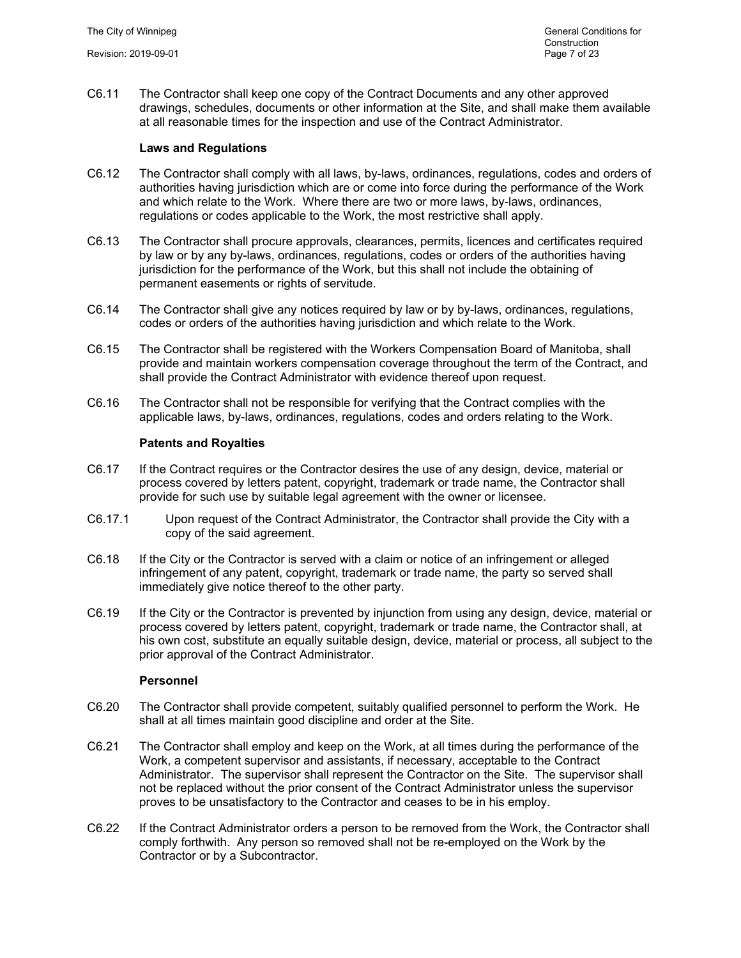C6.11 The Contractor shall keep one copy of the Contract Documents and any other approved drawings, schedules, documents or other information at the Site, and shall make them available at all reasonable times for the inspection and use of the Contract Administrator.

# **Laws and Regulations**

- C6.12 The Contractor shall comply with all laws, by-laws, ordinances, regulations, codes and orders of authorities having jurisdiction which are or come into force during the performance of the Work and which relate to the Work. Where there are two or more laws, by-laws, ordinances, regulations or codes applicable to the Work, the most restrictive shall apply.
- C6.13 The Contractor shall procure approvals, clearances, permits, licences and certificates required by law or by any by-laws, ordinances, regulations, codes or orders of the authorities having jurisdiction for the performance of the Work, but this shall not include the obtaining of permanent easements or rights of servitude.
- C6.14 The Contractor shall give any notices required by law or by by-laws, ordinances, regulations, codes or orders of the authorities having jurisdiction and which relate to the Work.
- C6.15 The Contractor shall be registered with the Workers Compensation Board of Manitoba, shall provide and maintain workers compensation coverage throughout the term of the Contract, and shall provide the Contract Administrator with evidence thereof upon request.
- C6.16 The Contractor shall not be responsible for verifying that the Contract complies with the applicable laws, by-laws, ordinances, regulations, codes and orders relating to the Work.

#### **Patents and Royalties**

- C6.17 If the Contract requires or the Contractor desires the use of any design, device, material or process covered by letters patent, copyright, trademark or trade name, the Contractor shall provide for such use by suitable legal agreement with the owner or licensee.
- C6.17.1 Upon request of the Contract Administrator, the Contractor shall provide the City with a copy of the said agreement.
- C6.18 If the City or the Contractor is served with a claim or notice of an infringement or alleged infringement of any patent, copyright, trademark or trade name, the party so served shall immediately give notice thereof to the other party.
- C6.19 If the City or the Contractor is prevented by injunction from using any design, device, material or process covered by letters patent, copyright, trademark or trade name, the Contractor shall, at his own cost, substitute an equally suitable design, device, material or process, all subject to the prior approval of the Contract Administrator.

#### **Personnel**

- C6.20 The Contractor shall provide competent, suitably qualified personnel to perform the Work. He shall at all times maintain good discipline and order at the Site.
- C6.21 The Contractor shall employ and keep on the Work, at all times during the performance of the Work, a competent supervisor and assistants, if necessary, acceptable to the Contract Administrator. The supervisor shall represent the Contractor on the Site. The supervisor shall not be replaced without the prior consent of the Contract Administrator unless the supervisor proves to be unsatisfactory to the Contractor and ceases to be in his employ.
- C6.22 If the Contract Administrator orders a person to be removed from the Work, the Contractor shall comply forthwith. Any person so removed shall not be re-employed on the Work by the Contractor or by a Subcontractor.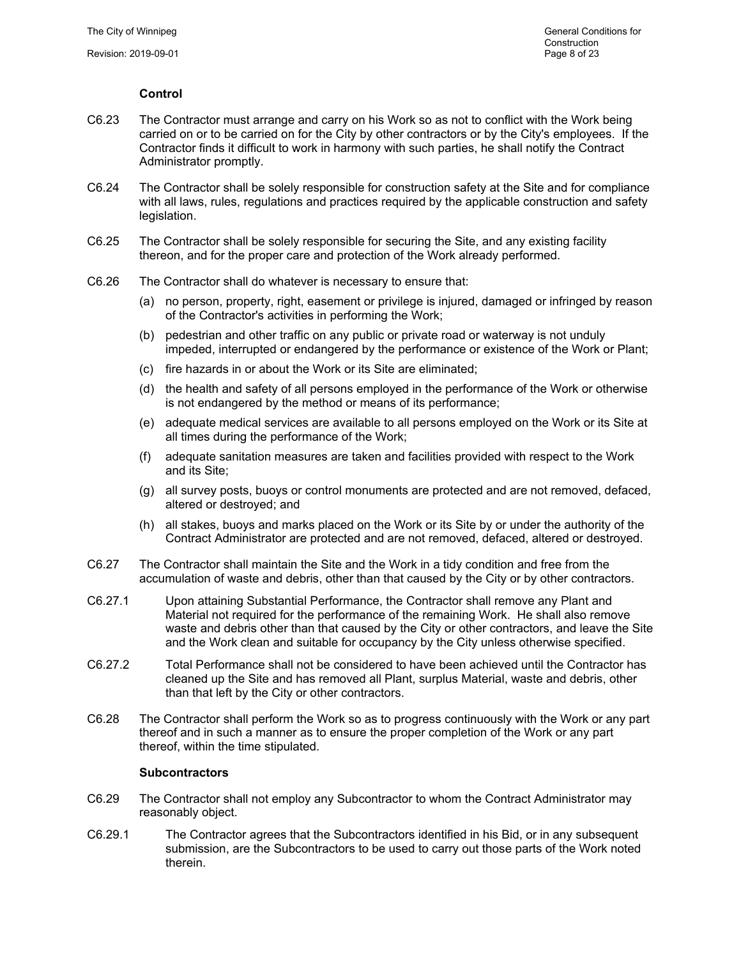# **Control**

- C6.23 The Contractor must arrange and carry on his Work so as not to conflict with the Work being carried on or to be carried on for the City by other contractors or by the City's employees. If the Contractor finds it difficult to work in harmony with such parties, he shall notify the Contract Administrator promptly.
- C6.24 The Contractor shall be solely responsible for construction safety at the Site and for compliance with all laws, rules, regulations and practices required by the applicable construction and safety legislation.
- C6.25 The Contractor shall be solely responsible for securing the Site, and any existing facility thereon, and for the proper care and protection of the Work already performed.
- C6.26 The Contractor shall do whatever is necessary to ensure that:
	- (a) no person, property, right, easement or privilege is injured, damaged or infringed by reason of the Contractor's activities in performing the Work;
	- (b) pedestrian and other traffic on any public or private road or waterway is not unduly impeded, interrupted or endangered by the performance or existence of the Work or Plant;
	- (c) fire hazards in or about the Work or its Site are eliminated;
	- (d) the health and safety of all persons employed in the performance of the Work or otherwise is not endangered by the method or means of its performance;
	- (e) adequate medical services are available to all persons employed on the Work or its Site at all times during the performance of the Work;
	- (f) adequate sanitation measures are taken and facilities provided with respect to the Work and its Site;
	- (g) all survey posts, buoys or control monuments are protected and are not removed, defaced, altered or destroyed; and
	- (h) all stakes, buoys and marks placed on the Work or its Site by or under the authority of the Contract Administrator are protected and are not removed, defaced, altered or destroyed.
- C6.27 The Contractor shall maintain the Site and the Work in a tidy condition and free from the accumulation of waste and debris, other than that caused by the City or by other contractors.
- C6.27.1 Upon attaining Substantial Performance, the Contractor shall remove any Plant and Material not required for the performance of the remaining Work. He shall also remove waste and debris other than that caused by the City or other contractors, and leave the Site and the Work clean and suitable for occupancy by the City unless otherwise specified.
- C6.27.2 Total Performance shall not be considered to have been achieved until the Contractor has cleaned up the Site and has removed all Plant, surplus Material, waste and debris, other than that left by the City or other contractors.
- C6.28 The Contractor shall perform the Work so as to progress continuously with the Work or any part thereof and in such a manner as to ensure the proper completion of the Work or any part thereof, within the time stipulated.

# **Subcontractors**

- C6.29 The Contractor shall not employ any Subcontractor to whom the Contract Administrator may reasonably object.
- C6.29.1 The Contractor agrees that the Subcontractors identified in his Bid, or in any subsequent submission, are the Subcontractors to be used to carry out those parts of the Work noted therein.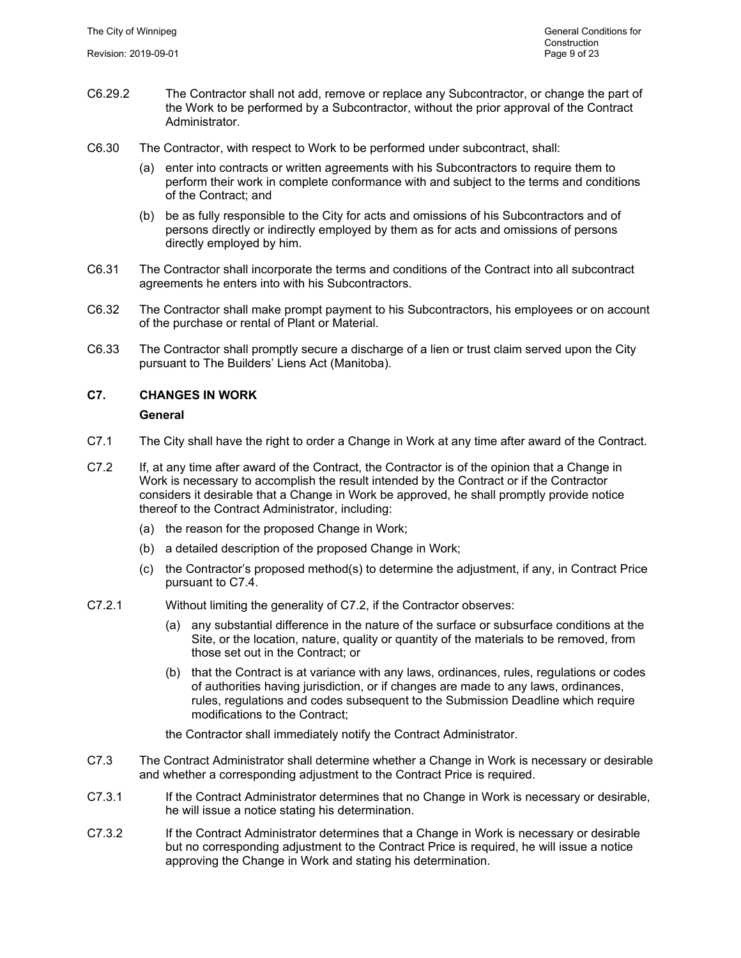- C6.29.2 The Contractor shall not add, remove or replace any Subcontractor, or change the part of the Work to be performed by a Subcontractor, without the prior approval of the Contract Administrator.
- C6.30 The Contractor, with respect to Work to be performed under subcontract, shall:
	- (a) enter into contracts or written agreements with his Subcontractors to require them to perform their work in complete conformance with and subject to the terms and conditions of the Contract; and
	- (b) be as fully responsible to the City for acts and omissions of his Subcontractors and of persons directly or indirectly employed by them as for acts and omissions of persons directly employed by him.
- C6.31 The Contractor shall incorporate the terms and conditions of the Contract into all subcontract agreements he enters into with his Subcontractors.
- C6.32 The Contractor shall make prompt payment to his Subcontractors, his employees or on account of the purchase or rental of Plant or Material.
- C6.33 The Contractor shall promptly secure a discharge of a lien or trust claim served upon the City pursuant to The Builders' Liens Act (Manitoba).

# **C7. CHANGES IN WORK**

#### **General**

- C7.1 The City shall have the right to order a Change in Work at any time after award of the Contract.
- C7.2 If, at any time after award of the Contract, the Contractor is of the opinion that a Change in Work is necessary to accomplish the result intended by the Contract or if the Contractor considers it desirable that a Change in Work be approved, he shall promptly provide notice thereof to the Contract Administrator, including:
	- (a) the reason for the proposed Change in Work;
	- (b) a detailed description of the proposed Change in Work;
	- (c) the Contractor's proposed method(s) to determine the adjustment, if any, in Contract Price pursuant to C7.4.
- C7.2.1 Without limiting the generality of C7.2, if the Contractor observes:
	- (a) any substantial difference in the nature of the surface or subsurface conditions at the Site, or the location, nature, quality or quantity of the materials to be removed, from those set out in the Contract; or
	- (b) that the Contract is at variance with any laws, ordinances, rules, regulations or codes of authorities having jurisdiction, or if changes are made to any laws, ordinances, rules, regulations and codes subsequent to the Submission Deadline which require modifications to the Contract;

the Contractor shall immediately notify the Contract Administrator.

- C7.3 The Contract Administrator shall determine whether a Change in Work is necessary or desirable and whether a corresponding adjustment to the Contract Price is required.
- C7.3.1 If the Contract Administrator determines that no Change in Work is necessary or desirable, he will issue a notice stating his determination.
- C7.3.2 If the Contract Administrator determines that a Change in Work is necessary or desirable but no corresponding adjustment to the Contract Price is required, he will issue a notice approving the Change in Work and stating his determination.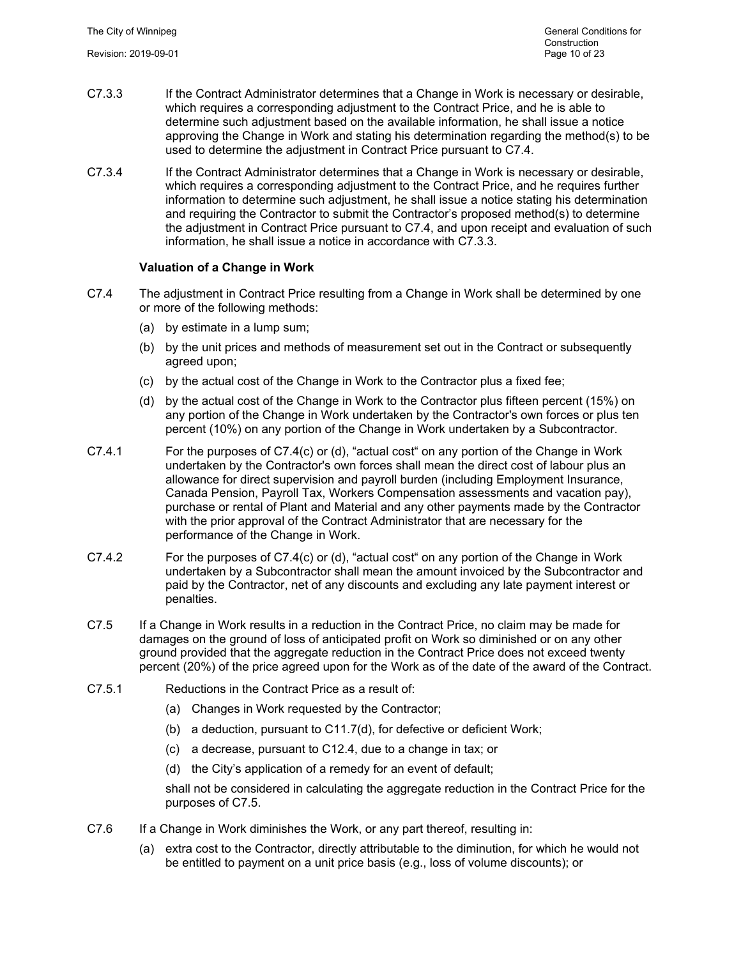- C7.3.3 If the Contract Administrator determines that a Change in Work is necessary or desirable, which requires a corresponding adjustment to the Contract Price, and he is able to determine such adjustment based on the available information, he shall issue a notice approving the Change in Work and stating his determination regarding the method(s) to be used to determine the adjustment in Contract Price pursuant to C7.4.
- C7.3.4 If the Contract Administrator determines that a Change in Work is necessary or desirable, which requires a corresponding adjustment to the Contract Price, and he requires further information to determine such adjustment, he shall issue a notice stating his determination and requiring the Contractor to submit the Contractor's proposed method(s) to determine the adjustment in Contract Price pursuant to C7.4, and upon receipt and evaluation of such information, he shall issue a notice in accordance with C7.3.3.

# **Valuation of a Change in Work**

- C7.4 The adjustment in Contract Price resulting from a Change in Work shall be determined by one or more of the following methods:
	- (a) by estimate in a lump sum;
	- (b) by the unit prices and methods of measurement set out in the Contract or subsequently agreed upon;
	- (c) by the actual cost of the Change in Work to the Contractor plus a fixed fee;
	- (d) by the actual cost of the Change in Work to the Contractor plus fifteen percent (15%) on any portion of the Change in Work undertaken by the Contractor's own forces or plus ten percent (10%) on any portion of the Change in Work undertaken by a Subcontractor.
- C7.4.1 For the purposes of C7.4(c) or (d), "actual cost" on any portion of the Change in Work undertaken by the Contractor's own forces shall mean the direct cost of labour plus an allowance for direct supervision and payroll burden (including Employment Insurance, Canada Pension, Payroll Tax, Workers Compensation assessments and vacation pay), purchase or rental of Plant and Material and any other payments made by the Contractor with the prior approval of the Contract Administrator that are necessary for the performance of the Change in Work.
- C7.4.2 For the purposes of C7.4(c) or (d), "actual cost" on any portion of the Change in Work undertaken by a Subcontractor shall mean the amount invoiced by the Subcontractor and paid by the Contractor, net of any discounts and excluding any late payment interest or penalties.
- C7.5 If a Change in Work results in a reduction in the Contract Price, no claim may be made for damages on the ground of loss of anticipated profit on Work so diminished or on any other ground provided that the aggregate reduction in the Contract Price does not exceed twenty percent (20%) of the price agreed upon for the Work as of the date of the award of the Contract.
- C7.5.1 Reductions in the Contract Price as a result of:
	- (a) Changes in Work requested by the Contractor;
	- (b) a deduction, pursuant to C11.7(d), for defective or deficient Work;
	- (c) a decrease, pursuant to C12.4, due to a change in tax; or
	- (d) the City's application of a remedy for an event of default;

shall not be considered in calculating the aggregate reduction in the Contract Price for the purposes of C7.5.

- C7.6 If a Change in Work diminishes the Work, or any part thereof, resulting in:
	- (a) extra cost to the Contractor, directly attributable to the diminution, for which he would not be entitled to payment on a unit price basis (e.g., loss of volume discounts); or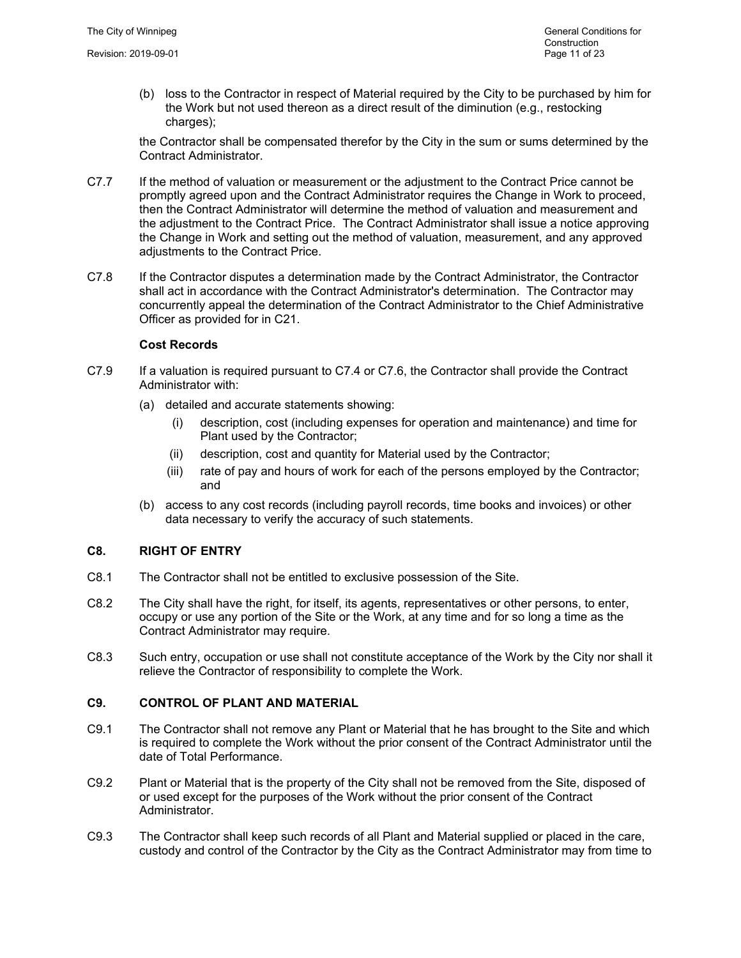(b) loss to the Contractor in respect of Material required by the City to be purchased by him for the Work but not used thereon as a direct result of the diminution (e.g., restocking charges):

the Contractor shall be compensated therefor by the City in the sum or sums determined by the Contract Administrator.

- C7.7 If the method of valuation or measurement or the adjustment to the Contract Price cannot be promptly agreed upon and the Contract Administrator requires the Change in Work to proceed, then the Contract Administrator will determine the method of valuation and measurement and the adjustment to the Contract Price. The Contract Administrator shall issue a notice approving the Change in Work and setting out the method of valuation, measurement, and any approved adjustments to the Contract Price.
- C7.8 If the Contractor disputes a determination made by the Contract Administrator, the Contractor shall act in accordance with the Contract Administrator's determination. The Contractor may concurrently appeal the determination of the Contract Administrator to the Chief Administrative Officer as provided for in C21.

#### **Cost Records**

- C7.9 If a valuation is required pursuant to C7.4 or C7.6, the Contractor shall provide the Contract Administrator with:
	- (a) detailed and accurate statements showing:
		- (i) description, cost (including expenses for operation and maintenance) and time for Plant used by the Contractor;
		- (ii) description, cost and quantity for Material used by the Contractor;
		- (iii) rate of pay and hours of work for each of the persons employed by the Contractor; and
	- (b) access to any cost records (including payroll records, time books and invoices) or other data necessary to verify the accuracy of such statements.

# **C8. RIGHT OF ENTRY**

- C8.1 The Contractor shall not be entitled to exclusive possession of the Site.
- C8.2 The City shall have the right, for itself, its agents, representatives or other persons, to enter, occupy or use any portion of the Site or the Work, at any time and for so long a time as the Contract Administrator may require.
- C8.3 Such entry, occupation or use shall not constitute acceptance of the Work by the City nor shall it relieve the Contractor of responsibility to complete the Work.

#### **C9. CONTROL OF PLANT AND MATERIAL**

- C9.1 The Contractor shall not remove any Plant or Material that he has brought to the Site and which is required to complete the Work without the prior consent of the Contract Administrator until the date of Total Performance.
- C9.2 Plant or Material that is the property of the City shall not be removed from the Site, disposed of or used except for the purposes of the Work without the prior consent of the Contract Administrator.
- C9.3 The Contractor shall keep such records of all Plant and Material supplied or placed in the care, custody and control of the Contractor by the City as the Contract Administrator may from time to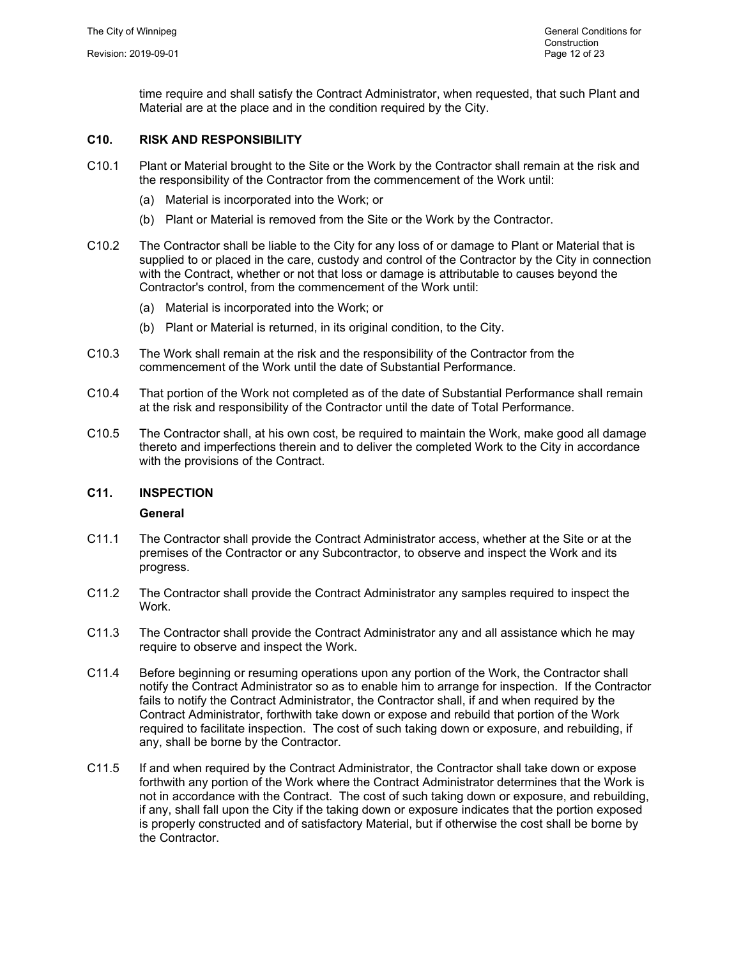time require and shall satisfy the Contract Administrator, when requested, that such Plant and Material are at the place and in the condition required by the City.

# **C10. RISK AND RESPONSIBILITY**

- C10.1 Plant or Material brought to the Site or the Work by the Contractor shall remain at the risk and the responsibility of the Contractor from the commencement of the Work until:
	- (a) Material is incorporated into the Work; or
	- (b) Plant or Material is removed from the Site or the Work by the Contractor.
- C10.2 The Contractor shall be liable to the City for any loss of or damage to Plant or Material that is supplied to or placed in the care, custody and control of the Contractor by the City in connection with the Contract, whether or not that loss or damage is attributable to causes beyond the Contractor's control, from the commencement of the Work until:
	- (a) Material is incorporated into the Work; or
	- (b) Plant or Material is returned, in its original condition, to the City.
- C10.3 The Work shall remain at the risk and the responsibility of the Contractor from the commencement of the Work until the date of Substantial Performance.
- C10.4 That portion of the Work not completed as of the date of Substantial Performance shall remain at the risk and responsibility of the Contractor until the date of Total Performance.
- C10.5 The Contractor shall, at his own cost, be required to maintain the Work, make good all damage thereto and imperfections therein and to deliver the completed Work to the City in accordance with the provisions of the Contract.

#### **C11. INSPECTION**

#### **General**

- C11.1 The Contractor shall provide the Contract Administrator access, whether at the Site or at the premises of the Contractor or any Subcontractor, to observe and inspect the Work and its progress.
- C11.2 The Contractor shall provide the Contract Administrator any samples required to inspect the Work.
- C11.3 The Contractor shall provide the Contract Administrator any and all assistance which he may require to observe and inspect the Work.
- C11.4 Before beginning or resuming operations upon any portion of the Work, the Contractor shall notify the Contract Administrator so as to enable him to arrange for inspection. If the Contractor fails to notify the Contract Administrator, the Contractor shall, if and when required by the Contract Administrator, forthwith take down or expose and rebuild that portion of the Work required to facilitate inspection. The cost of such taking down or exposure, and rebuilding, if any, shall be borne by the Contractor.
- C11.5 If and when required by the Contract Administrator, the Contractor shall take down or expose forthwith any portion of the Work where the Contract Administrator determines that the Work is not in accordance with the Contract. The cost of such taking down or exposure, and rebuilding, if any, shall fall upon the City if the taking down or exposure indicates that the portion exposed is properly constructed and of satisfactory Material, but if otherwise the cost shall be borne by the Contractor.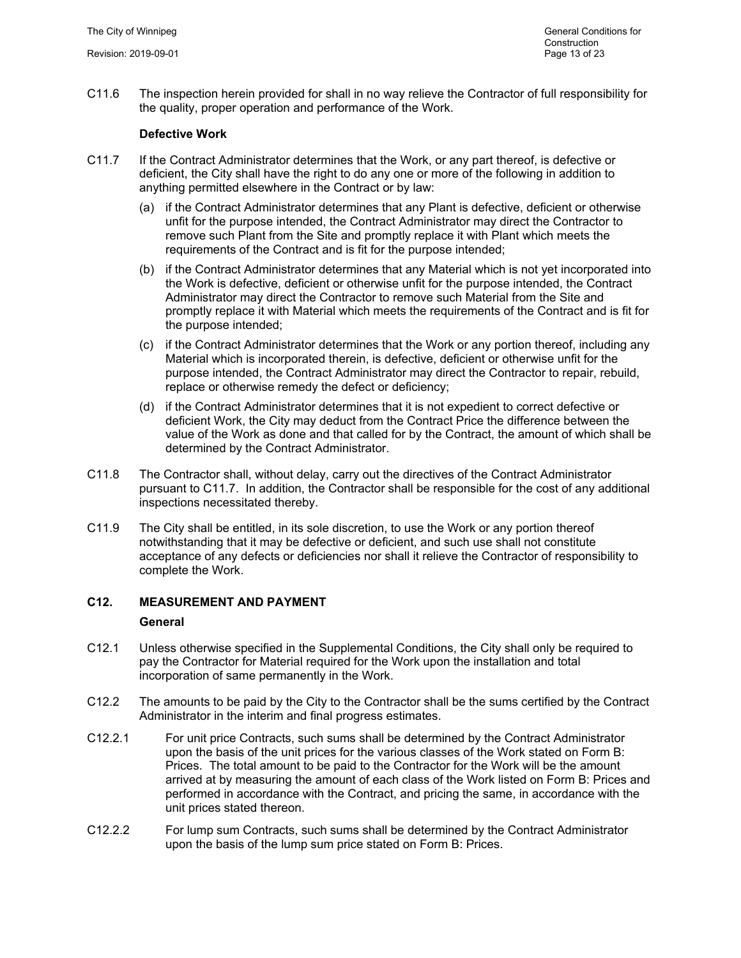C11.6 The inspection herein provided for shall in no way relieve the Contractor of full responsibility for the quality, proper operation and performance of the Work.

# **Defective Work**

- C11.7 If the Contract Administrator determines that the Work, or any part thereof, is defective or deficient, the City shall have the right to do any one or more of the following in addition to anything permitted elsewhere in the Contract or by law:
	- (a) if the Contract Administrator determines that any Plant is defective, deficient or otherwise unfit for the purpose intended, the Contract Administrator may direct the Contractor to remove such Plant from the Site and promptly replace it with Plant which meets the requirements of the Contract and is fit for the purpose intended;
	- (b) if the Contract Administrator determines that any Material which is not yet incorporated into the Work is defective, deficient or otherwise unfit for the purpose intended, the Contract Administrator may direct the Contractor to remove such Material from the Site and promptly replace it with Material which meets the requirements of the Contract and is fit for the purpose intended;
	- (c) if the Contract Administrator determines that the Work or any portion thereof, including any Material which is incorporated therein, is defective, deficient or otherwise unfit for the purpose intended, the Contract Administrator may direct the Contractor to repair, rebuild, replace or otherwise remedy the defect or deficiency;
	- (d) if the Contract Administrator determines that it is not expedient to correct defective or deficient Work, the City may deduct from the Contract Price the difference between the value of the Work as done and that called for by the Contract, the amount of which shall be determined by the Contract Administrator.
- C11.8 The Contractor shall, without delay, carry out the directives of the Contract Administrator pursuant to C11.7. In addition, the Contractor shall be responsible for the cost of any additional inspections necessitated thereby.
- C11.9 The City shall be entitled, in its sole discretion, to use the Work or any portion thereof notwithstanding that it may be defective or deficient, and such use shall not constitute acceptance of any defects or deficiencies nor shall it relieve the Contractor of responsibility to complete the Work.

# **C12. MEASUREMENT AND PAYMENT**

#### **General**

- C12.1 Unless otherwise specified in the Supplemental Conditions, the City shall only be required to pay the Contractor for Material required for the Work upon the installation and total incorporation of same permanently in the Work.
- C12.2 The amounts to be paid by the City to the Contractor shall be the sums certified by the Contract Administrator in the interim and final progress estimates.
- C12.2.1 For unit price Contracts, such sums shall be determined by the Contract Administrator upon the basis of the unit prices for the various classes of the Work stated on Form B: Prices. The total amount to be paid to the Contractor for the Work will be the amount arrived at by measuring the amount of each class of the Work listed on Form B: Prices and performed in accordance with the Contract, and pricing the same, in accordance with the unit prices stated thereon.
- C12.2.2 For lump sum Contracts, such sums shall be determined by the Contract Administrator upon the basis of the lump sum price stated on Form B: Prices.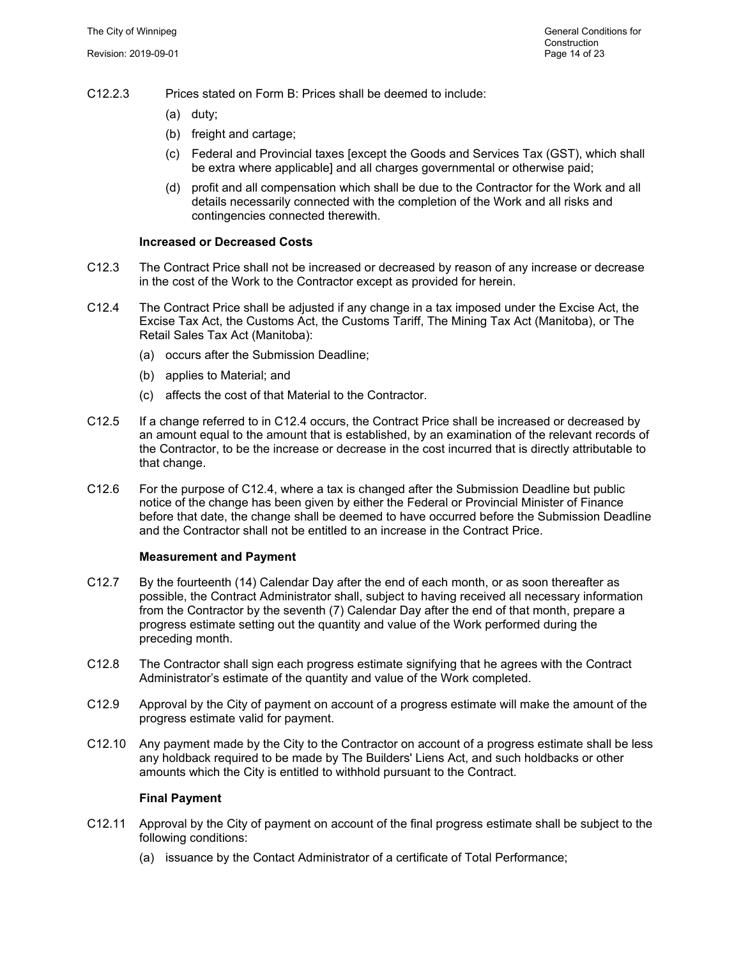- C12.2.3 Prices stated on Form B: Prices shall be deemed to include:
	- (a) duty;
	- (b) freight and cartage;
	- (c) Federal and Provincial taxes [except the Goods and Services Tax (GST), which shall be extra where applicable] and all charges governmental or otherwise paid;
	- (d) profit and all compensation which shall be due to the Contractor for the Work and all details necessarily connected with the completion of the Work and all risks and contingencies connected therewith.

# **Increased or Decreased Costs**

- C12.3 The Contract Price shall not be increased or decreased by reason of any increase or decrease in the cost of the Work to the Contractor except as provided for herein.
- C12.4 The Contract Price shall be adjusted if any change in a tax imposed under the Excise Act, the Excise Tax Act, the Customs Act, the Customs Tariff, The Mining Tax Act (Manitoba), or The Retail Sales Tax Act (Manitoba):
	- (a) occurs after the Submission Deadline;
	- (b) applies to Material; and
	- (c) affects the cost of that Material to the Contractor.
- C12.5 If a change referred to in C12.4 occurs, the Contract Price shall be increased or decreased by an amount equal to the amount that is established, by an examination of the relevant records of the Contractor, to be the increase or decrease in the cost incurred that is directly attributable to that change.
- C12.6 For the purpose of C12.4, where a tax is changed after the Submission Deadline but public notice of the change has been given by either the Federal or Provincial Minister of Finance before that date, the change shall be deemed to have occurred before the Submission Deadline and the Contractor shall not be entitled to an increase in the Contract Price.

#### **Measurement and Payment**

- C12.7 By the fourteenth (14) Calendar Day after the end of each month, or as soon thereafter as possible, the Contract Administrator shall, subject to having received all necessary information from the Contractor by the seventh (7) Calendar Day after the end of that month, prepare a progress estimate setting out the quantity and value of the Work performed during the preceding month.
- C12.8 The Contractor shall sign each progress estimate signifying that he agrees with the Contract Administrator's estimate of the quantity and value of the Work completed.
- C12.9 Approval by the City of payment on account of a progress estimate will make the amount of the progress estimate valid for payment.
- C12.10 Any payment made by the City to the Contractor on account of a progress estimate shall be less any holdback required to be made by The Builders' Liens Act, and such holdbacks or other amounts which the City is entitled to withhold pursuant to the Contract.

#### **Final Payment**

- C12.11 Approval by the City of payment on account of the final progress estimate shall be subject to the following conditions:
	- (a) issuance by the Contact Administrator of a certificate of Total Performance;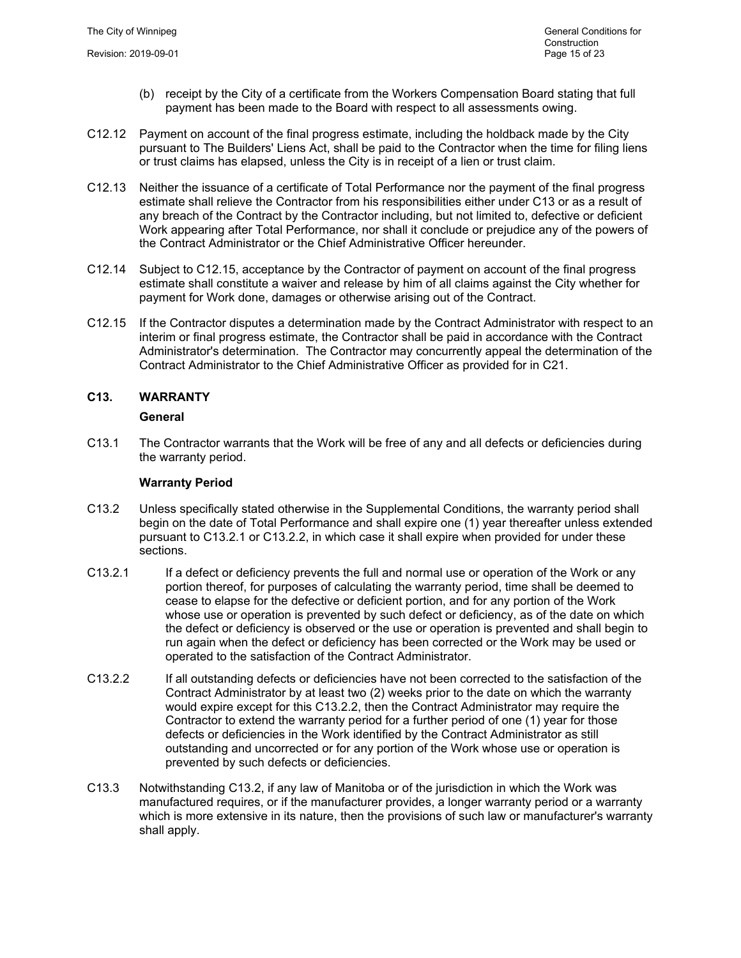- (b) receipt by the City of a certificate from the Workers Compensation Board stating that full payment has been made to the Board with respect to all assessments owing.
- C12.12 Payment on account of the final progress estimate, including the holdback made by the City pursuant to The Builders' Liens Act, shall be paid to the Contractor when the time for filing liens or trust claims has elapsed, unless the City is in receipt of a lien or trust claim.
- C12.13 Neither the issuance of a certificate of Total Performance nor the payment of the final progress estimate shall relieve the Contractor from his responsibilities either under C13 or as a result of any breach of the Contract by the Contractor including, but not limited to, defective or deficient Work appearing after Total Performance, nor shall it conclude or prejudice any of the powers of the Contract Administrator or the Chief Administrative Officer hereunder.
- C12.14 Subject to C12.15, acceptance by the Contractor of payment on account of the final progress estimate shall constitute a waiver and release by him of all claims against the City whether for payment for Work done, damages or otherwise arising out of the Contract.
- C12.15 If the Contractor disputes a determination made by the Contract Administrator with respect to an interim or final progress estimate, the Contractor shall be paid in accordance with the Contract Administrator's determination. The Contractor may concurrently appeal the determination of the Contract Administrator to the Chief Administrative Officer as provided for in C21.

# **C13. WARRANTY**

# **General**

C13.1 The Contractor warrants that the Work will be free of any and all defects or deficiencies during the warranty period.

# **Warranty Period**

- C13.2 Unless specifically stated otherwise in the Supplemental Conditions, the warranty period shall begin on the date of Total Performance and shall expire one (1) year thereafter unless extended pursuant to C13.2.1 or C13.2.2, in which case it shall expire when provided for under these sections.
- C13.2.1 If a defect or deficiency prevents the full and normal use or operation of the Work or any portion thereof, for purposes of calculating the warranty period, time shall be deemed to cease to elapse for the defective or deficient portion, and for any portion of the Work whose use or operation is prevented by such defect or deficiency, as of the date on which the defect or deficiency is observed or the use or operation is prevented and shall begin to run again when the defect or deficiency has been corrected or the Work may be used or operated to the satisfaction of the Contract Administrator.
- C13.2.2 If all outstanding defects or deficiencies have not been corrected to the satisfaction of the Contract Administrator by at least two (2) weeks prior to the date on which the warranty would expire except for this C13.2.2, then the Contract Administrator may require the Contractor to extend the warranty period for a further period of one (1) year for those defects or deficiencies in the Work identified by the Contract Administrator as still outstanding and uncorrected or for any portion of the Work whose use or operation is prevented by such defects or deficiencies.
- C13.3 Notwithstanding C13.2, if any law of Manitoba or of the jurisdiction in which the Work was manufactured requires, or if the manufacturer provides, a longer warranty period or a warranty which is more extensive in its nature, then the provisions of such law or manufacturer's warranty shall apply.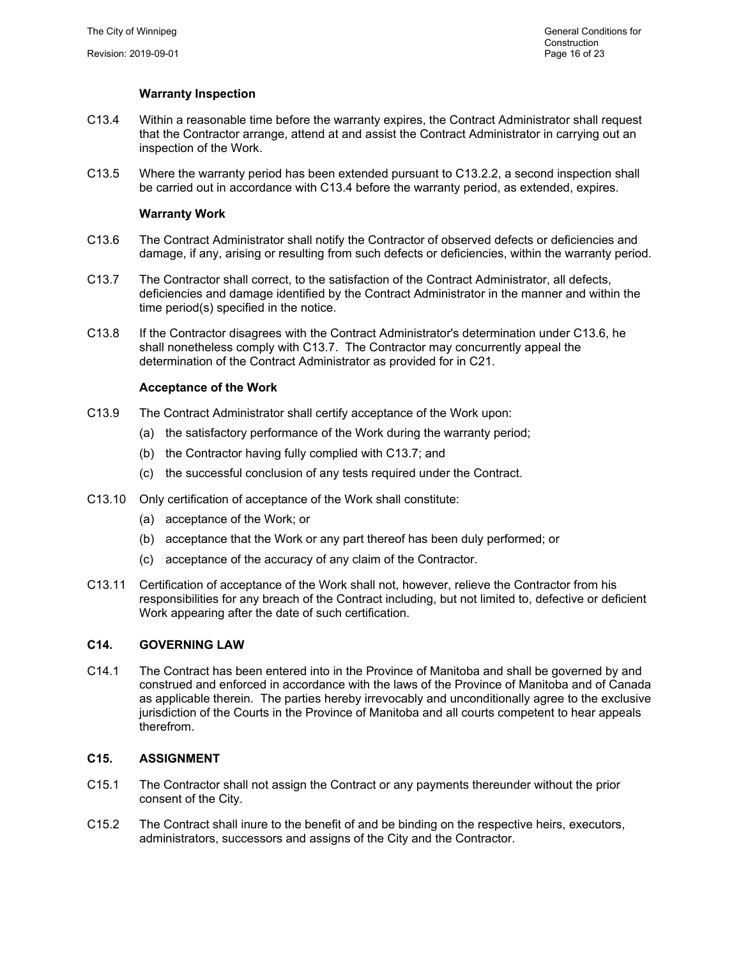# **Warranty Inspection**

- C13.4 Within a reasonable time before the warranty expires, the Contract Administrator shall request that the Contractor arrange, attend at and assist the Contract Administrator in carrying out an inspection of the Work.
- C13.5 Where the warranty period has been extended pursuant to C13.2.2, a second inspection shall be carried out in accordance with C13.4 before the warranty period, as extended, expires.

# **Warranty Work**

- C13.6 The Contract Administrator shall notify the Contractor of observed defects or deficiencies and damage, if any, arising or resulting from such defects or deficiencies, within the warranty period.
- C13.7 The Contractor shall correct, to the satisfaction of the Contract Administrator, all defects, deficiencies and damage identified by the Contract Administrator in the manner and within the time period(s) specified in the notice.
- C13.8 If the Contractor disagrees with the Contract Administrator's determination under C13.6, he shall nonetheless comply with C13.7. The Contractor may concurrently appeal the determination of the Contract Administrator as provided for in C21.

# **Acceptance of the Work**

- C13.9 The Contract Administrator shall certify acceptance of the Work upon:
	- (a) the satisfactory performance of the Work during the warranty period;
	- (b) the Contractor having fully complied with C13.7; and
	- (c) the successful conclusion of any tests required under the Contract.
- C13.10 Only certification of acceptance of the Work shall constitute:
	- (a) acceptance of the Work; or
	- (b) acceptance that the Work or any part thereof has been duly performed; or
	- (c) acceptance of the accuracy of any claim of the Contractor.
- C13.11 Certification of acceptance of the Work shall not, however, relieve the Contractor from his responsibilities for any breach of the Contract including, but not limited to, defective or deficient Work appearing after the date of such certification.

#### **C14. GOVERNING LAW**

C14.1 The Contract has been entered into in the Province of Manitoba and shall be governed by and construed and enforced in accordance with the laws of the Province of Manitoba and of Canada as applicable therein. The parties hereby irrevocably and unconditionally agree to the exclusive jurisdiction of the Courts in the Province of Manitoba and all courts competent to hear appeals therefrom.

#### **C15. ASSIGNMENT**

- C15.1 The Contractor shall not assign the Contract or any payments thereunder without the prior consent of the City.
- C15.2 The Contract shall inure to the benefit of and be binding on the respective heirs, executors, administrators, successors and assigns of the City and the Contractor.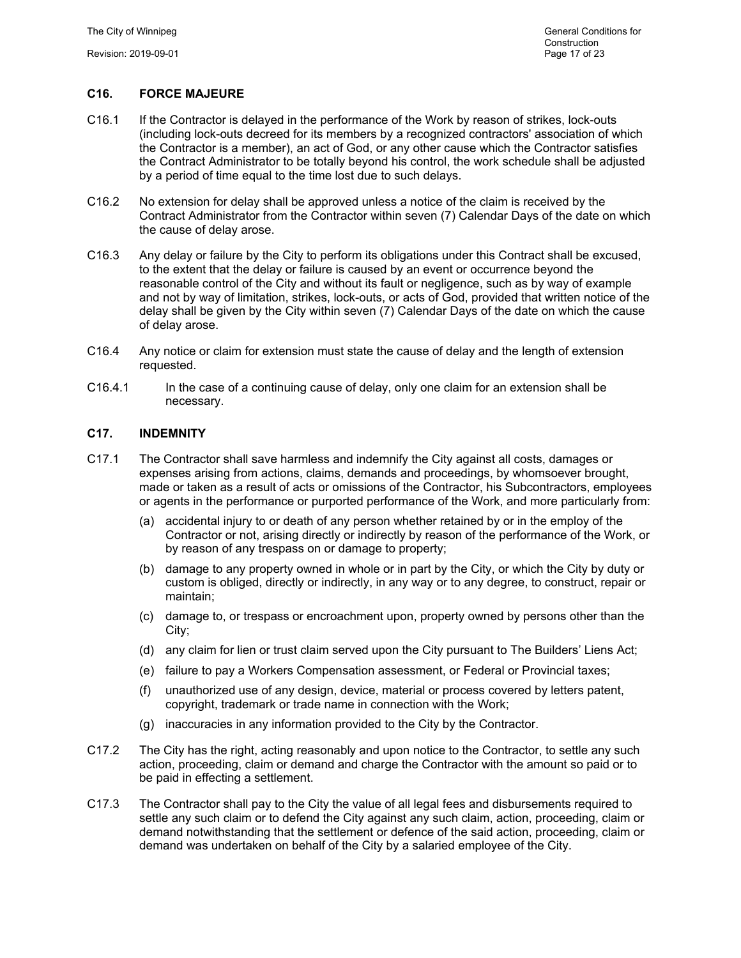# **C16. FORCE MAJEURE**

- C16.1 If the Contractor is delayed in the performance of the Work by reason of strikes, lock-outs (including lock-outs decreed for its members by a recognized contractors' association of which the Contractor is a member), an act of God, or any other cause which the Contractor satisfies the Contract Administrator to be totally beyond his control, the work schedule shall be adjusted by a period of time equal to the time lost due to such delays.
- C16.2 No extension for delay shall be approved unless a notice of the claim is received by the Contract Administrator from the Contractor within seven (7) Calendar Days of the date on which the cause of delay arose.
- C16.3 Any delay or failure by the City to perform its obligations under this Contract shall be excused, to the extent that the delay or failure is caused by an event or occurrence beyond the reasonable control of the City and without its fault or negligence, such as by way of example and not by way of limitation, strikes, lock-outs, or acts of God, provided that written notice of the delay shall be given by the City within seven (7) Calendar Days of the date on which the cause of delay arose.
- C16.4 Any notice or claim for extension must state the cause of delay and the length of extension requested.
- C16.4.1 In the case of a continuing cause of delay, only one claim for an extension shall be necessary.

# **C17. INDEMNITY**

- C17.1 The Contractor shall save harmless and indemnify the City against all costs, damages or expenses arising from actions, claims, demands and proceedings, by whomsoever brought, made or taken as a result of acts or omissions of the Contractor, his Subcontractors, employees or agents in the performance or purported performance of the Work, and more particularly from:
	- (a) accidental injury to or death of any person whether retained by or in the employ of the Contractor or not, arising directly or indirectly by reason of the performance of the Work, or by reason of any trespass on or damage to property;
	- (b) damage to any property owned in whole or in part by the City, or which the City by duty or custom is obliged, directly or indirectly, in any way or to any degree, to construct, repair or maintain;
	- (c) damage to, or trespass or encroachment upon, property owned by persons other than the City;
	- (d) any claim for lien or trust claim served upon the City pursuant to The Builders' Liens Act;
	- (e) failure to pay a Workers Compensation assessment, or Federal or Provincial taxes;
	- (f) unauthorized use of any design, device, material or process covered by letters patent, copyright, trademark or trade name in connection with the Work;
	- (g) inaccuracies in any information provided to the City by the Contractor.
- C17.2 The City has the right, acting reasonably and upon notice to the Contractor, to settle any such action, proceeding, claim or demand and charge the Contractor with the amount so paid or to be paid in effecting a settlement.
- C17.3 The Contractor shall pay to the City the value of all legal fees and disbursements required to settle any such claim or to defend the City against any such claim, action, proceeding, claim or demand notwithstanding that the settlement or defence of the said action, proceeding, claim or demand was undertaken on behalf of the City by a salaried employee of the City.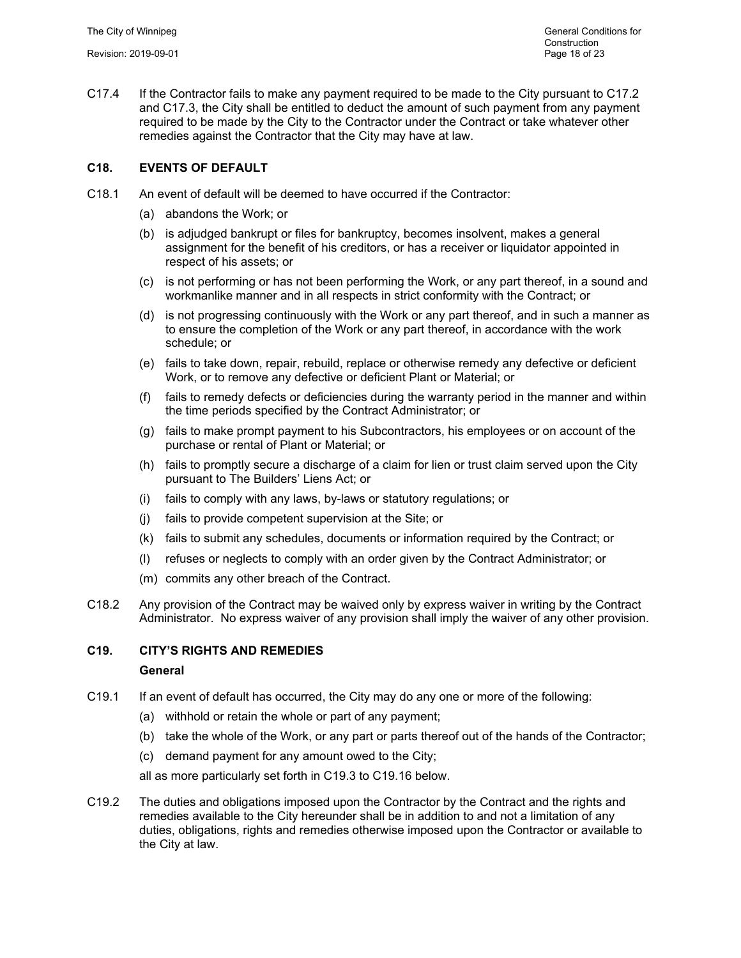C17.4 If the Contractor fails to make any payment required to be made to the City pursuant to C17.2 and C17.3, the City shall be entitled to deduct the amount of such payment from any payment required to be made by the City to the Contractor under the Contract or take whatever other remedies against the Contractor that the City may have at law.

# **C18. EVENTS OF DEFAULT**

- C18.1 An event of default will be deemed to have occurred if the Contractor:
	- (a) abandons the Work; or
	- (b) is adjudged bankrupt or files for bankruptcy, becomes insolvent, makes a general assignment for the benefit of his creditors, or has a receiver or liquidator appointed in respect of his assets; or
	- (c) is not performing or has not been performing the Work, or any part thereof, in a sound and workmanlike manner and in all respects in strict conformity with the Contract; or
	- (d) is not progressing continuously with the Work or any part thereof, and in such a manner as to ensure the completion of the Work or any part thereof, in accordance with the work schedule; or
	- (e) fails to take down, repair, rebuild, replace or otherwise remedy any defective or deficient Work, or to remove any defective or deficient Plant or Material; or
	- (f) fails to remedy defects or deficiencies during the warranty period in the manner and within the time periods specified by the Contract Administrator; or
	- (g) fails to make prompt payment to his Subcontractors, his employees or on account of the purchase or rental of Plant or Material; or
	- (h) fails to promptly secure a discharge of a claim for lien or trust claim served upon the City pursuant to The Builders' Liens Act; or
	- (i) fails to comply with any laws, by-laws or statutory regulations; or
	- (j) fails to provide competent supervision at the Site; or
	- (k) fails to submit any schedules, documents or information required by the Contract; or
	- (l) refuses or neglects to comply with an order given by the Contract Administrator; or
	- (m) commits any other breach of the Contract.
- C18.2 Any provision of the Contract may be waived only by express waiver in writing by the Contract Administrator. No express waiver of any provision shall imply the waiver of any other provision.

# **C19. CITY'S RIGHTS AND REMEDIES**

#### **General**

- C19.1 If an event of default has occurred, the City may do any one or more of the following:
	- (a) withhold or retain the whole or part of any payment;
	- (b) take the whole of the Work, or any part or parts thereof out of the hands of the Contractor;
	- (c) demand payment for any amount owed to the City;

all as more particularly set forth in C19.3 to C19.16 below.

C19.2 The duties and obligations imposed upon the Contractor by the Contract and the rights and remedies available to the City hereunder shall be in addition to and not a limitation of any duties, obligations, rights and remedies otherwise imposed upon the Contractor or available to the City at law.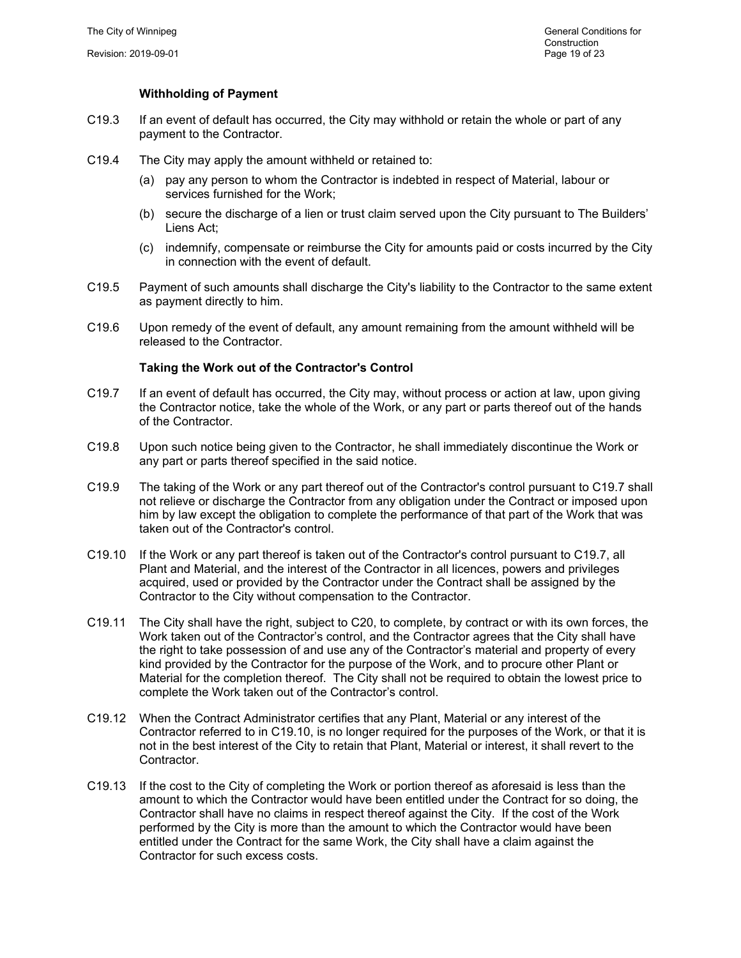# **Withholding of Payment**

- C19.3 If an event of default has occurred, the City may withhold or retain the whole or part of any payment to the Contractor.
- C19.4 The City may apply the amount withheld or retained to:
	- (a) pay any person to whom the Contractor is indebted in respect of Material, labour or services furnished for the Work;
	- (b) secure the discharge of a lien or trust claim served upon the City pursuant to The Builders' Liens Act;
	- (c) indemnify, compensate or reimburse the City for amounts paid or costs incurred by the City in connection with the event of default.
- C19.5 Payment of such amounts shall discharge the City's liability to the Contractor to the same extent as payment directly to him.
- C19.6 Upon remedy of the event of default, any amount remaining from the amount withheld will be released to the Contractor.

#### **Taking the Work out of the Contractor's Control**

- C19.7 If an event of default has occurred, the City may, without process or action at law, upon giving the Contractor notice, take the whole of the Work, or any part or parts thereof out of the hands of the Contractor.
- C19.8 Upon such notice being given to the Contractor, he shall immediately discontinue the Work or any part or parts thereof specified in the said notice.
- C19.9 The taking of the Work or any part thereof out of the Contractor's control pursuant to C19.7 shall not relieve or discharge the Contractor from any obligation under the Contract or imposed upon him by law except the obligation to complete the performance of that part of the Work that was taken out of the Contractor's control.
- C19.10 If the Work or any part thereof is taken out of the Contractor's control pursuant to C19.7, all Plant and Material, and the interest of the Contractor in all licences, powers and privileges acquired, used or provided by the Contractor under the Contract shall be assigned by the Contractor to the City without compensation to the Contractor.
- C19.11 The City shall have the right, subject to C20, to complete, by contract or with its own forces, the Work taken out of the Contractor's control, and the Contractor agrees that the City shall have the right to take possession of and use any of the Contractor's material and property of every kind provided by the Contractor for the purpose of the Work, and to procure other Plant or Material for the completion thereof. The City shall not be required to obtain the lowest price to complete the Work taken out of the Contractor's control.
- C19.12 When the Contract Administrator certifies that any Plant, Material or any interest of the Contractor referred to in C19.10, is no longer required for the purposes of the Work, or that it is not in the best interest of the City to retain that Plant, Material or interest, it shall revert to the Contractor.
- C19.13 If the cost to the City of completing the Work or portion thereof as aforesaid is less than the amount to which the Contractor would have been entitled under the Contract for so doing, the Contractor shall have no claims in respect thereof against the City. If the cost of the Work performed by the City is more than the amount to which the Contractor would have been entitled under the Contract for the same Work, the City shall have a claim against the Contractor for such excess costs.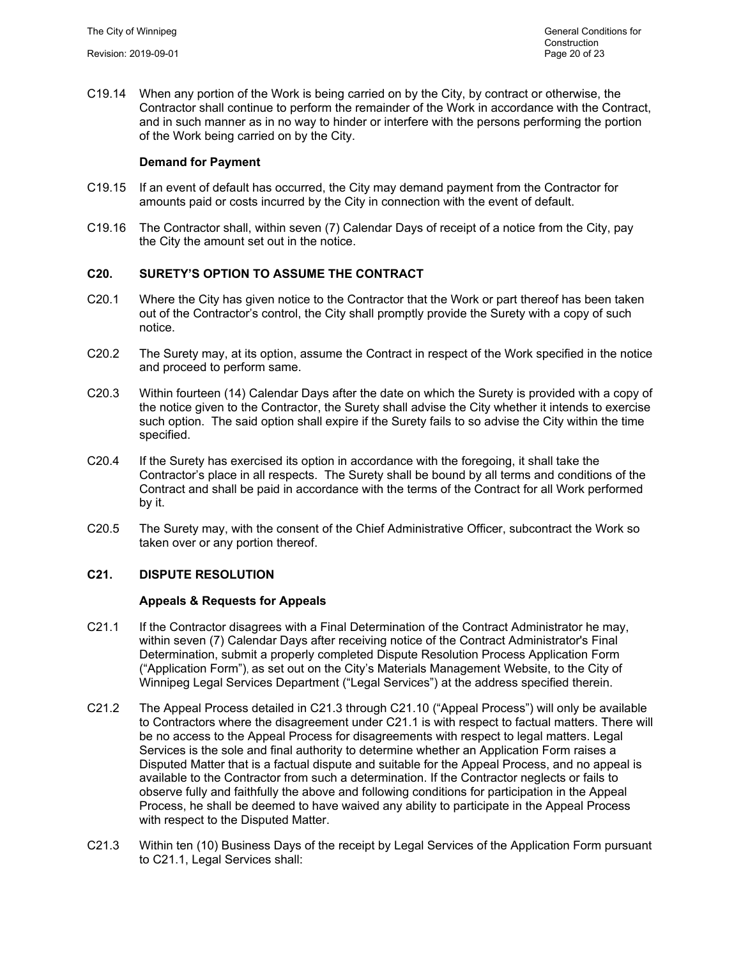C19.14 When any portion of the Work is being carried on by the City, by contract or otherwise, the Contractor shall continue to perform the remainder of the Work in accordance with the Contract, and in such manner as in no way to hinder or interfere with the persons performing the portion of the Work being carried on by the City.

# **Demand for Payment**

- C19.15 If an event of default has occurred, the City may demand payment from the Contractor for amounts paid or costs incurred by the City in connection with the event of default.
- C19.16 The Contractor shall, within seven (7) Calendar Days of receipt of a notice from the City, pay the City the amount set out in the notice.

# **C20. SURETY'S OPTION TO ASSUME THE CONTRACT**

- C20.1 Where the City has given notice to the Contractor that the Work or part thereof has been taken out of the Contractor's control, the City shall promptly provide the Surety with a copy of such notice.
- C20.2 The Surety may, at its option, assume the Contract in respect of the Work specified in the notice and proceed to perform same.
- C20.3 Within fourteen (14) Calendar Days after the date on which the Surety is provided with a copy of the notice given to the Contractor, the Surety shall advise the City whether it intends to exercise such option. The said option shall expire if the Surety fails to so advise the City within the time specified.
- C20.4 If the Surety has exercised its option in accordance with the foregoing, it shall take the Contractor's place in all respects. The Surety shall be bound by all terms and conditions of the Contract and shall be paid in accordance with the terms of the Contract for all Work performed by it.
- C20.5 The Surety may, with the consent of the Chief Administrative Officer, subcontract the Work so taken over or any portion thereof.

#### **C21. DISPUTE RESOLUTION**

#### **Appeals & Requests for Appeals**

- C21.1 If the Contractor disagrees with a Final Determination of the Contract Administrator he may, within seven (7) Calendar Days after receiving notice of the Contract Administrator's Final Determination, submit a properly completed Dispute Resolution Process Application Form ("Application Form"), as set out on the City's Materials Management Website, to the City of Winnipeg Legal Services Department ("Legal Services") at the address specified therein.
- C21.2 The Appeal Process detailed in C21.3 through C21.10 ("Appeal Process") will only be available to Contractors where the disagreement under C21.1 is with respect to factual matters. There will be no access to the Appeal Process for disagreements with respect to legal matters. Legal Services is the sole and final authority to determine whether an Application Form raises a Disputed Matter that is a factual dispute and suitable for the Appeal Process, and no appeal is available to the Contractor from such a determination. If the Contractor neglects or fails to observe fully and faithfully the above and following conditions for participation in the Appeal Process, he shall be deemed to have waived any ability to participate in the Appeal Process with respect to the Disputed Matter.
- C21.3 Within ten (10) Business Days of the receipt by Legal Services of the Application Form pursuant to C21.1, Legal Services shall: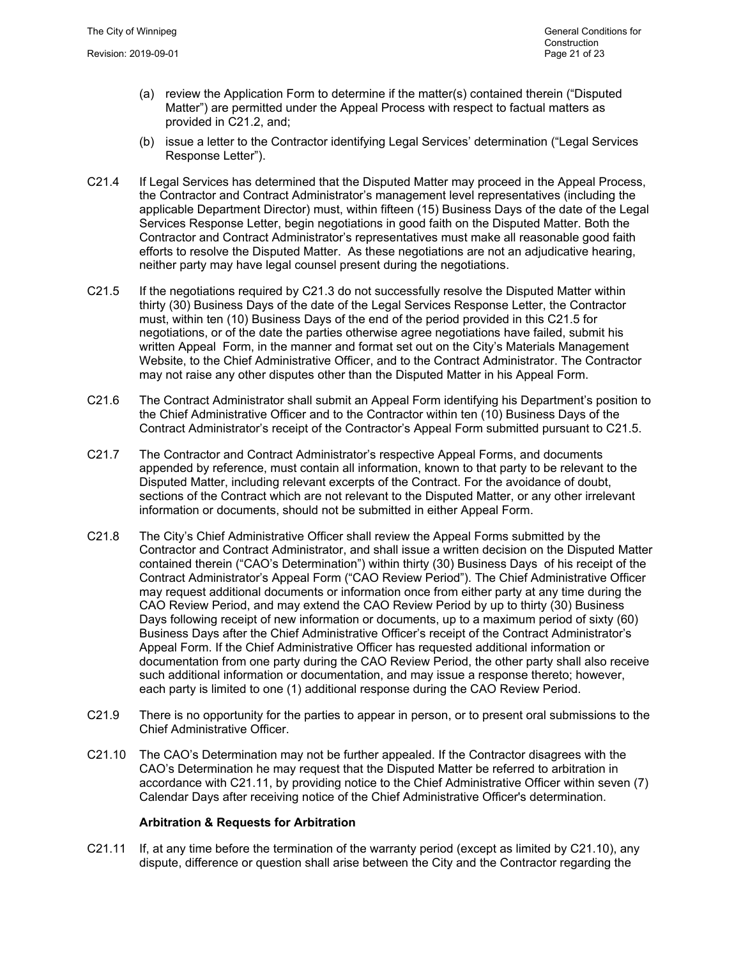- (a) review the Application Form to determine if the matter(s) contained therein ("Disputed Matter") are permitted under the Appeal Process with respect to factual matters as provided in C21.2, and;
- (b) issue a letter to the Contractor identifying Legal Services' determination ("Legal Services Response Letter").
- C21.4 If Legal Services has determined that the Disputed Matter may proceed in the Appeal Process, the Contractor and Contract Administrator's management level representatives (including the applicable Department Director) must, within fifteen (15) Business Days of the date of the Legal Services Response Letter, begin negotiations in good faith on the Disputed Matter. Both the Contractor and Contract Administrator's representatives must make all reasonable good faith efforts to resolve the Disputed Matter. As these negotiations are not an adjudicative hearing, neither party may have legal counsel present during the negotiations.
- C21.5 If the negotiations required by C21.3 do not successfully resolve the Disputed Matter within thirty (30) Business Days of the date of the Legal Services Response Letter, the Contractor must, within ten (10) Business Days of the end of the period provided in this C21.5 for negotiations, or of the date the parties otherwise agree negotiations have failed, submit his written Appeal Form, in the manner and format set out on the City's Materials Management Website, to the Chief Administrative Officer, and to the Contract Administrator. The Contractor may not raise any other disputes other than the Disputed Matter in his Appeal Form.
- C21.6 The Contract Administrator shall submit an Appeal Form identifying his Department's position to the Chief Administrative Officer and to the Contractor within ten (10) Business Days of the Contract Administrator's receipt of the Contractor's Appeal Form submitted pursuant to C21.5.
- C21.7 The Contractor and Contract Administrator's respective Appeal Forms, and documents appended by reference, must contain all information, known to that party to be relevant to the Disputed Matter, including relevant excerpts of the Contract. For the avoidance of doubt, sections of the Contract which are not relevant to the Disputed Matter, or any other irrelevant information or documents, should not be submitted in either Appeal Form.
- C21.8 The City's Chief Administrative Officer shall review the Appeal Forms submitted by the Contractor and Contract Administrator, and shall issue a written decision on the Disputed Matter contained therein ("CAO's Determination") within thirty (30) Business Days of his receipt of the Contract Administrator's Appeal Form ("CAO Review Period"). The Chief Administrative Officer may request additional documents or information once from either party at any time during the CAO Review Period, and may extend the CAO Review Period by up to thirty (30) Business Days following receipt of new information or documents, up to a maximum period of sixty (60) Business Days after the Chief Administrative Officer's receipt of the Contract Administrator's Appeal Form. If the Chief Administrative Officer has requested additional information or documentation from one party during the CAO Review Period, the other party shall also receive such additional information or documentation, and may issue a response thereto; however, each party is limited to one (1) additional response during the CAO Review Period.
- C21.9 There is no opportunity for the parties to appear in person, or to present oral submissions to the Chief Administrative Officer.
- C21.10 The CAO's Determination may not be further appealed. If the Contractor disagrees with the CAO's Determination he may request that the Disputed Matter be referred to arbitration in accordance with C21.11, by providing notice to the Chief Administrative Officer within seven (7) Calendar Days after receiving notice of the Chief Administrative Officer's determination.

#### **Arbitration & Requests for Arbitration**

C21.11 If, at any time before the termination of the warranty period (except as limited by C21.10), any dispute, difference or question shall arise between the City and the Contractor regarding the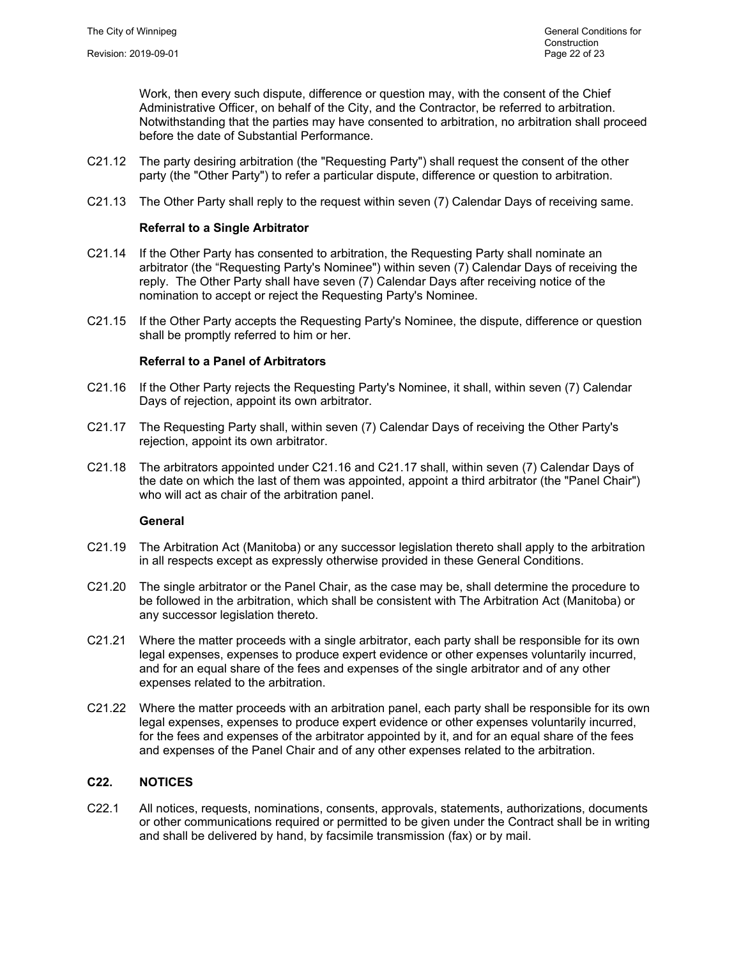Work, then every such dispute, difference or question may, with the consent of the Chief Administrative Officer, on behalf of the City, and the Contractor, be referred to arbitration. Notwithstanding that the parties may have consented to arbitration, no arbitration shall proceed before the date of Substantial Performance.

- C21.12 The party desiring arbitration (the "Requesting Party") shall request the consent of the other party (the "Other Party") to refer a particular dispute, difference or question to arbitration.
- C21.13 The Other Party shall reply to the request within seven (7) Calendar Days of receiving same.

# **Referral to a Single Arbitrator**

- C21.14 If the Other Party has consented to arbitration, the Requesting Party shall nominate an arbitrator (the "Requesting Party's Nominee") within seven (7) Calendar Days of receiving the reply. The Other Party shall have seven (7) Calendar Days after receiving notice of the nomination to accept or reject the Requesting Party's Nominee.
- C21.15 If the Other Party accepts the Requesting Party's Nominee, the dispute, difference or question shall be promptly referred to him or her.

#### **Referral to a Panel of Arbitrators**

- C21.16 If the Other Party rejects the Requesting Party's Nominee, it shall, within seven (7) Calendar Days of rejection, appoint its own arbitrator.
- C21.17 The Requesting Party shall, within seven (7) Calendar Days of receiving the Other Party's rejection, appoint its own arbitrator.
- C21.18 The arbitrators appointed under C21.16 and C21.17 shall, within seven (7) Calendar Days of the date on which the last of them was appointed, appoint a third arbitrator (the "Panel Chair") who will act as chair of the arbitration panel.

#### **General**

- C21.19 The Arbitration Act (Manitoba) or any successor legislation thereto shall apply to the arbitration in all respects except as expressly otherwise provided in these General Conditions.
- C21.20 The single arbitrator or the Panel Chair, as the case may be, shall determine the procedure to be followed in the arbitration, which shall be consistent with The Arbitration Act (Manitoba) or any successor legislation thereto.
- C21.21 Where the matter proceeds with a single arbitrator, each party shall be responsible for its own legal expenses, expenses to produce expert evidence or other expenses voluntarily incurred, and for an equal share of the fees and expenses of the single arbitrator and of any other expenses related to the arbitration.
- C21.22 Where the matter proceeds with an arbitration panel, each party shall be responsible for its own legal expenses, expenses to produce expert evidence or other expenses voluntarily incurred, for the fees and expenses of the arbitrator appointed by it, and for an equal share of the fees and expenses of the Panel Chair and of any other expenses related to the arbitration.

# **C22. NOTICES**

C22.1 All notices, requests, nominations, consents, approvals, statements, authorizations, documents or other communications required or permitted to be given under the Contract shall be in writing and shall be delivered by hand, by facsimile transmission (fax) or by mail.